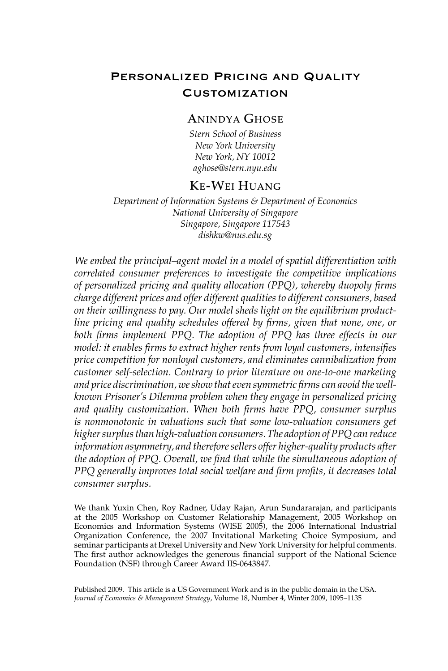# PERSONALIZED PRICING AND QUALITY **CUSTOMIZATION**

## **ANINDYA GHOSE**

*Stern School of Business New York University New York, NY 10012 aghose@stern.nyu.edu*

## **KE-WEI HUANG**

*Department of Information Systems & Department of Economics National University of Singapore Singapore, Singapore 117543 dishkw@nus.edu.sg*

*We embed the principal–agent model in a model of spatial differentiation with correlated consumer preferences to investigate the competitive implications of personalized pricing and quality allocation (PPQ), whereby duopoly firms charge different prices and offer different qualities to different consumers, based on their willingness to pay. Our model sheds light on the equilibrium productline pricing and quality schedules offered by firms, given that none, one, or both firms implement PPQ. The adoption of PPQ has three effects in our model: it enables firms to extract higher rents from loyal customers, intensifies price competition for nonloyal customers, and eliminates cannibalization from customer self-selection. Contrary to prior literature on one-to-one marketing and price discrimination, we show that even symmetric firms can avoid the wellknown Prisoner's Dilemma problem when they engage in personalized pricing and quality customization. When both firms have PPQ, consumer surplus is nonmonotonic in valuations such that some low-valuation consumers get higher surplus than high-valuation consumers. The adoption of PPQ can reduce information asymmetry, and therefore sellers offer higher-quality products after the adoption of PPQ. Overall, we find that while the simultaneous adoption of PPQ generally improves total social welfare and firm profits, it decreases total consumer surplus.*

We thank Yuxin Chen, Roy Radner, Uday Rajan, Arun Sundararajan, and participants at the 2005 Workshop on Customer Relationship Management, 2005 Workshop on Economics and Information Systems (WISE 2005), the 2006 International Industrial Organization Conference, the 2007 Invitational Marketing Choice Symposium, and seminar participants at Drexel University and New York University for helpful comments. The first author acknowledges the generous financial support of the National Science Foundation (NSF) through Career Award IIS-0643847.

Published 2009. This article is a US Government Work and is in the public domain in the USA. *Journal of Economics & Management Strategy*, Volume 18, Number 4, Winter 2009, 1095–1135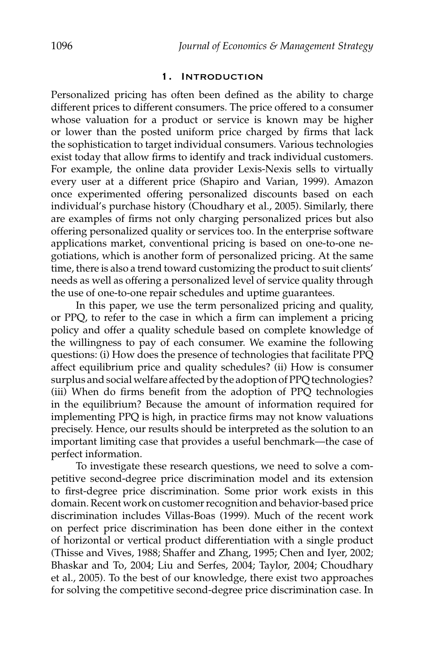### 1. Introduction

Personalized pricing has often been defined as the ability to charge different prices to different consumers. The price offered to a consumer whose valuation for a product or service is known may be higher or lower than the posted uniform price charged by firms that lack the sophistication to target individual consumers. Various technologies exist today that allow firms to identify and track individual customers. For example, the online data provider Lexis-Nexis sells to virtually every user at a different price (Shapiro and Varian, 1999). Amazon once experimented offering personalized discounts based on each individual's purchase history (Choudhary et al., 2005). Similarly, there are examples of firms not only charging personalized prices but also offering personalized quality or services too. In the enterprise software applications market, conventional pricing is based on one-to-one negotiations, which is another form of personalized pricing. At the same time, there is also a trend toward customizing the product to suit clients' needs as well as offering a personalized level of service quality through the use of one-to-one repair schedules and uptime guarantees.

In this paper, we use the term personalized pricing and quality, or PPQ, to refer to the case in which a firm can implement a pricing policy and offer a quality schedule based on complete knowledge of the willingness to pay of each consumer. We examine the following questions: (i) How does the presence of technologies that facilitate PPQ affect equilibrium price and quality schedules? (ii) How is consumer surplus and social welfare affected by the adoption of PPQ technologies? (iii) When do firms benefit from the adoption of PPQ technologies in the equilibrium? Because the amount of information required for implementing PPQ is high, in practice firms may not know valuations precisely. Hence, our results should be interpreted as the solution to an important limiting case that provides a useful benchmark—the case of perfect information.

To investigate these research questions, we need to solve a competitive second-degree price discrimination model and its extension to first-degree price discrimination. Some prior work exists in this domain. Recent work on customer recognition and behavior-based price discrimination includes Villas-Boas (1999). Much of the recent work on perfect price discrimination has been done either in the context of horizontal or vertical product differentiation with a single product (Thisse and Vives, 1988; Shaffer and Zhang, 1995; Chen and Iyer, 2002; Bhaskar and To, 2004; Liu and Serfes, 2004; Taylor, 2004; Choudhary et al., 2005). To the best of our knowledge, there exist two approaches for solving the competitive second-degree price discrimination case. In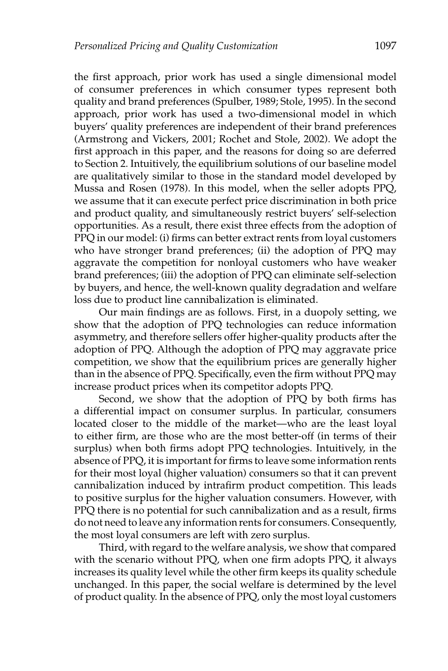the first approach, prior work has used a single dimensional model of consumer preferences in which consumer types represent both quality and brand preferences (Spulber, 1989; Stole, 1995). In the second approach, prior work has used a two-dimensional model in which buyers' quality preferences are independent of their brand preferences (Armstrong and Vickers, 2001; Rochet and Stole, 2002). We adopt the first approach in this paper, and the reasons for doing so are deferred to Section 2. Intuitively, the equilibrium solutions of our baseline model are qualitatively similar to those in the standard model developed by Mussa and Rosen (1978). In this model, when the seller adopts PPQ, we assume that it can execute perfect price discrimination in both price and product quality, and simultaneously restrict buyers' self-selection opportunities. As a result, there exist three effects from the adoption of PPQ in our model: (i) firms can better extract rents from loyal customers who have stronger brand preferences; (ii) the adoption of PPQ may aggravate the competition for nonloyal customers who have weaker brand preferences; (iii) the adoption of PPQ can eliminate self-selection by buyers, and hence, the well-known quality degradation and welfare loss due to product line cannibalization is eliminated.

Our main findings are as follows. First, in a duopoly setting, we show that the adoption of PPQ technologies can reduce information asymmetry, and therefore sellers offer higher-quality products after the adoption of PPQ. Although the adoption of PPQ may aggravate price competition, we show that the equilibrium prices are generally higher than in the absence of PPQ. Specifically, even the firm without PPQ may increase product prices when its competitor adopts PPQ.

Second, we show that the adoption of PPQ by both firms has a differential impact on consumer surplus. In particular, consumers located closer to the middle of the market—who are the least loyal to either firm, are those who are the most better-off (in terms of their surplus) when both firms adopt PPQ technologies. Intuitively, in the absence of PPQ, it is important for firms to leave some information rents for their most loyal (higher valuation) consumers so that it can prevent cannibalization induced by intrafirm product competition. This leads to positive surplus for the higher valuation consumers. However, with PPQ there is no potential for such cannibalization and as a result, firms do not need to leave any information rents for consumers. Consequently, the most loyal consumers are left with zero surplus.

Third, with regard to the welfare analysis, we show that compared with the scenario without PPQ, when one firm adopts PPQ, it always increases its quality level while the other firm keeps its quality schedule unchanged. In this paper, the social welfare is determined by the level of product quality. In the absence of PPQ, only the most loyal customers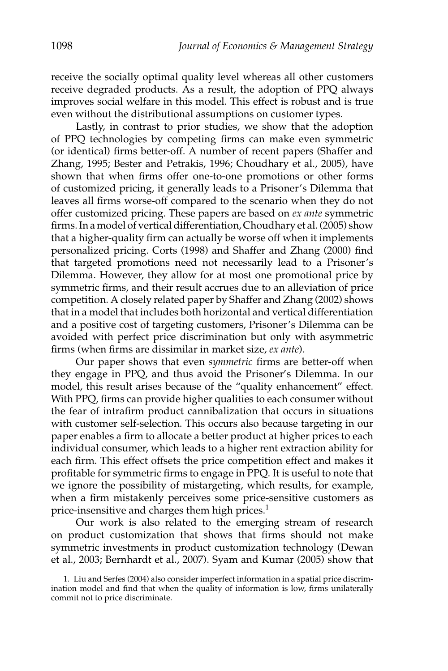receive the socially optimal quality level whereas all other customers receive degraded products. As a result, the adoption of PPQ always improves social welfare in this model. This effect is robust and is true even without the distributional assumptions on customer types.

Lastly, in contrast to prior studies, we show that the adoption of PPQ technologies by competing firms can make even symmetric (or identical) firms better-off. A number of recent papers (Shaffer and Zhang, 1995; Bester and Petrakis, 1996; Choudhary et al., 2005), have shown that when firms offer one-to-one promotions or other forms of customized pricing, it generally leads to a Prisoner's Dilemma that leaves all firms worse-off compared to the scenario when they do not offer customized pricing. These papers are based on *ex ante* symmetric firms. In a model of vertical differentiation, Choudhary et al. (2005) show that a higher-quality firm can actually be worse off when it implements personalized pricing. Corts (1998) and Shaffer and Zhang (2000) find that targeted promotions need not necessarily lead to a Prisoner's Dilemma. However, they allow for at most one promotional price by symmetric firms, and their result accrues due to an alleviation of price competition. A closely related paper by Shaffer and Zhang (2002) shows that in a model that includes both horizontal and vertical differentiation and a positive cost of targeting customers, Prisoner's Dilemma can be avoided with perfect price discrimination but only with asymmetric firms (when firms are dissimilar in market size, *ex ante*).

Our paper shows that even *symmetric* firms are better-off when they engage in PPQ, and thus avoid the Prisoner's Dilemma. In our model, this result arises because of the "quality enhancement" effect. With PPQ, firms can provide higher qualities to each consumer without the fear of intrafirm product cannibalization that occurs in situations with customer self-selection. This occurs also because targeting in our paper enables a firm to allocate a better product at higher prices to each individual consumer, which leads to a higher rent extraction ability for each firm. This effect offsets the price competition effect and makes it profitable for symmetric firms to engage in PPQ. It is useful to note that we ignore the possibility of mistargeting, which results, for example, when a firm mistakenly perceives some price-sensitive customers as price-insensitive and charges them high prices.<sup>1</sup>

Our work is also related to the emerging stream of research on product customization that shows that firms should not make symmetric investments in product customization technology (Dewan et al., 2003; Bernhardt et al., 2007). Syam and Kumar (2005) show that

<sup>1.</sup> Liu and Serfes (2004) also consider imperfect information in a spatial price discrimination model and find that when the quality of information is low, firms unilaterally commit not to price discriminate.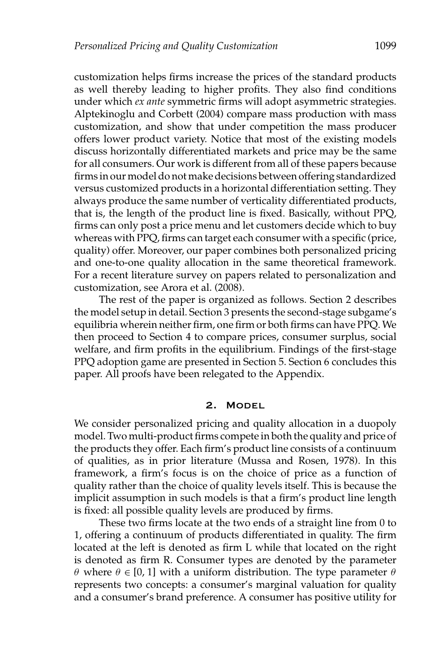customization helps firms increase the prices of the standard products as well thereby leading to higher profits. They also find conditions under which *ex ante* symmetric firms will adopt asymmetric strategies. Alptekinoglu and Corbett (2004) compare mass production with mass customization, and show that under competition the mass producer offers lower product variety. Notice that most of the existing models discuss horizontally differentiated markets and price may be the same for all consumers. Our work is different from all of these papers because firms in our model do not make decisions between offering standardized versus customized products in a horizontal differentiation setting. They always produce the same number of verticality differentiated products, that is, the length of the product line is fixed. Basically, without PPQ, firms can only post a price menu and let customers decide which to buy whereas with PPQ, firms can target each consumer with a specific (price, quality) offer. Moreover, our paper combines both personalized pricing and one-to-one quality allocation in the same theoretical framework. For a recent literature survey on papers related to personalization and customization, see Arora et al. (2008).

The rest of the paper is organized as follows. Section 2 describes the model setup in detail. Section 3 presents the second-stage subgame's equilibria wherein neither firm, one firm or both firms can have PPQ. We then proceed to Section 4 to compare prices, consumer surplus, social welfare, and firm profits in the equilibrium. Findings of the first-stage PPQ adoption game are presented in Section 5. Section 6 concludes this paper. All proofs have been relegated to the Appendix.

## 2. Model

We consider personalized pricing and quality allocation in a duopoly model. Two multi-product firms compete in both the quality and price of the products they offer. Each firm's product line consists of a continuum of qualities, as in prior literature (Mussa and Rosen, 1978). In this framework, a firm's focus is on the choice of price as a function of quality rather than the choice of quality levels itself. This is because the implicit assumption in such models is that a firm's product line length is fixed: all possible quality levels are produced by firms.

These two firms locate at the two ends of a straight line from 0 to 1, offering a continuum of products differentiated in quality. The firm located at the left is denoted as firm L while that located on the right is denoted as firm R. Consumer types are denoted by the parameter θ where  $θ ∈ [0, 1]$  with a uniform distribution. The type parameter  $θ$ represents two concepts: a consumer's marginal valuation for quality and a consumer's brand preference. A consumer has positive utility for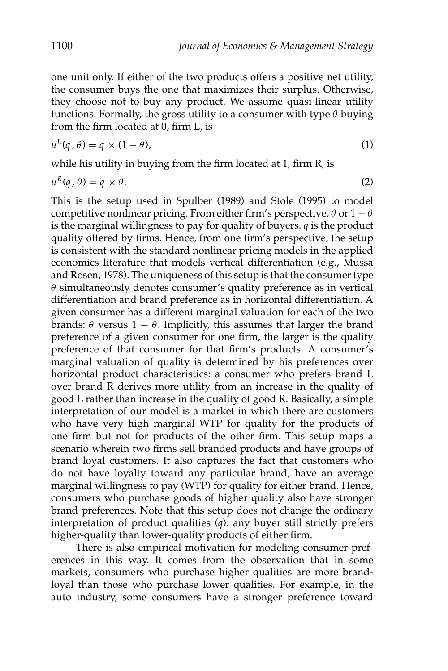one unit only. If either of the two products offers a positive net utility, the consumer buys the one that maximizes their surplus. Otherwise, they choose not to buy any product. We assume quasi-linear utility functions. Formally, the gross utility to a consumer with type  $\theta$  buying from the firm located at 0, firm L, is

$$
u^{L}(q, \theta) = q \times (1 - \theta), \tag{1}
$$

while his utility in buying from the firm located at 1, firm R, is

$$
u^R(q,\theta) = q \times \theta. \tag{2}
$$

This is the setup used in Spulber (1989) and Stole (1995) to model competitive nonlinear pricing. From either firm's perspective,  $\theta$  or  $1 - \theta$ is the marginal willingness to pay for quality of buyers. *q* is the product quality offered by firms. Hence, from one firm's perspective, the setup is consistent with the standard nonlinear pricing models in the applied economics literature that models vertical differentiation (e.g., Mussa and Rosen, 1978). The uniqueness of this setup is that the consumer type  $\theta$  simultaneously denotes consumer's quality preference as in vertical differentiation and brand preference as in horizontal differentiation. A given consumer has a different marginal valuation for each of the two brands:  $θ$  versus  $1 - θ$ . Implicitly, this assumes that larger the brand preference of a given consumer for one firm, the larger is the quality preference of that consumer for that firm's products. A consumer's marginal valuation of quality is determined by his preferences over horizontal product characteristics: a consumer who prefers brand L over brand R derives more utility from an increase in the quality of good L rather than increase in the quality of good R. Basically, a simple interpretation of our model is a market in which there are customers who have very high marginal WTP for quality for the products of one firm but not for products of the other firm. This setup maps a scenario wherein two firms sell branded products and have groups of brand loyal customers. It also captures the fact that customers who do not have loyalty toward any particular brand, have an average marginal willingness to pay (WTP) for quality for either brand. Hence, consumers who purchase goods of higher quality also have stronger brand preferences. Note that this setup does not change the ordinary interpretation of product qualities (*q*): any buyer still strictly prefers higher-quality than lower-quality products of either firm.

There is also empirical motivation for modeling consumer preferences in this way. It comes from the observation that in some markets, consumers who purchase higher qualities are more brandloyal than those who purchase lower qualities. For example, in the auto industry, some consumers have a stronger preference toward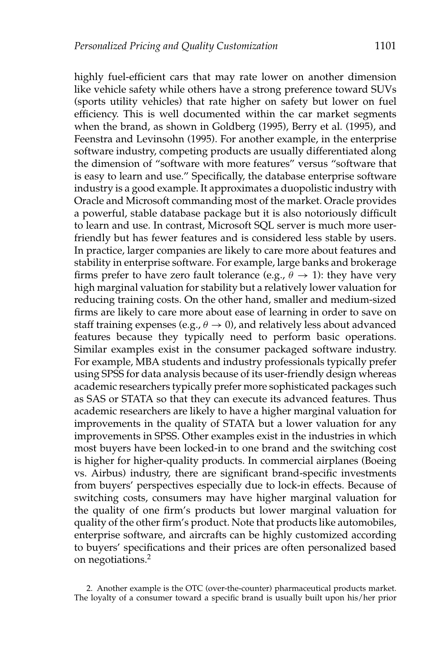highly fuel-efficient cars that may rate lower on another dimension like vehicle safety while others have a strong preference toward SUVs (sports utility vehicles) that rate higher on safety but lower on fuel efficiency. This is well documented within the car market segments when the brand, as shown in Goldberg (1995), Berry et al. (1995), and Feenstra and Levinsohn (1995). For another example, in the enterprise software industry, competing products are usually differentiated along the dimension of "software with more features" versus "software that is easy to learn and use." Specifically, the database enterprise software industry is a good example. It approximates a duopolistic industry with Oracle and Microsoft commanding most of the market. Oracle provides a powerful, stable database package but it is also notoriously difficult to learn and use. In contrast, Microsoft SQL server is much more userfriendly but has fewer features and is considered less stable by users. In practice, larger companies are likely to care more about features and stability in enterprise software. For example, large banks and brokerage firms prefer to have zero fault tolerance (e.g.,  $\theta \rightarrow 1$ ): they have very high marginal valuation for stability but a relatively lower valuation for reducing training costs. On the other hand, smaller and medium-sized firms are likely to care more about ease of learning in order to save on staff training expenses (e.g.,  $\theta \rightarrow 0$ ), and relatively less about advanced features because they typically need to perform basic operations. Similar examples exist in the consumer packaged software industry. For example, MBA students and industry professionals typically prefer using SPSS for data analysis because of its user-friendly design whereas academic researchers typically prefer more sophisticated packages such as SAS or STATA so that they can execute its advanced features. Thus academic researchers are likely to have a higher marginal valuation for improvements in the quality of STATA but a lower valuation for any improvements in SPSS. Other examples exist in the industries in which most buyers have been locked-in to one brand and the switching cost is higher for higher-quality products. In commercial airplanes (Boeing vs. Airbus) industry, there are significant brand-specific investments from buyers' perspectives especially due to lock-in effects. Because of switching costs, consumers may have higher marginal valuation for the quality of one firm's products but lower marginal valuation for quality of the other firm's product. Note that products like automobiles, enterprise software, and aircrafts can be highly customized according to buyers' specifications and their prices are often personalized based on negotiations.<sup>2</sup>

<sup>2.</sup> Another example is the OTC (over-the-counter) pharmaceutical products market. The loyalty of a consumer toward a specific brand is usually built upon his/her prior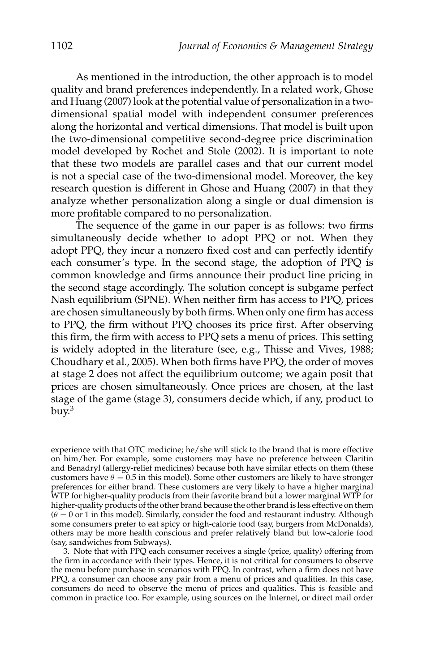As mentioned in the introduction, the other approach is to model quality and brand preferences independently. In a related work, Ghose and Huang (2007) look at the potential value of personalization in a twodimensional spatial model with independent consumer preferences along the horizontal and vertical dimensions. That model is built upon the two-dimensional competitive second-degree price discrimination model developed by Rochet and Stole (2002). It is important to note that these two models are parallel cases and that our current model is not a special case of the two-dimensional model. Moreover, the key research question is different in Ghose and Huang (2007) in that they analyze whether personalization along a single or dual dimension is more profitable compared to no personalization.

The sequence of the game in our paper is as follows: two firms simultaneously decide whether to adopt PPQ or not. When they adopt PPQ, they incur a nonzero fixed cost and can perfectly identify each consumer's type. In the second stage, the adoption of PPQ is common knowledge and firms announce their product line pricing in the second stage accordingly. The solution concept is subgame perfect Nash equilibrium (SPNE). When neither firm has access to PPQ, prices are chosen simultaneously by both firms. When only one firm has access to PPQ, the firm without PPQ chooses its price first. After observing this firm, the firm with access to PPQ sets a menu of prices. This setting is widely adopted in the literature (see, e.g., Thisse and Vives, 1988; Choudhary et al., 2005). When both firms have PPQ, the order of moves at stage 2 does not affect the equilibrium outcome; we again posit that prices are chosen simultaneously. Once prices are chosen, at the last stage of the game (stage 3), consumers decide which, if any, product to  $buy.^3$ 

experience with that OTC medicine; he/she will stick to the brand that is more effective on him/her. For example, some customers may have no preference between Claritin and Benadryl (allergy-relief medicines) because both have similar effects on them (these customers have  $\theta = 0.5$  in this model). Some other customers are likely to have stronger preferences for either brand. These customers are very likely to have a higher marginal WTP for higher-quality products from their favorite brand but a lower marginal WTP for higher-quality products of the other brand because the other brand is less effective on them  $(\theta = 0 \text{ or } 1 \text{ in this model})$ . Similarly, consider the food and restaurant industry. Although some consumers prefer to eat spicy or high-calorie food (say, burgers from McDonalds), others may be more health conscious and prefer relatively bland but low-calorie food (say, sandwiches from Subways).

<sup>3.</sup> Note that with PPQ each consumer receives a single (price, quality) offering from the firm in accordance with their types. Hence, it is not critical for consumers to observe the menu before purchase in scenarios with PPQ. In contrast, when a firm does not have PPQ, a consumer can choose any pair from a menu of prices and qualities. In this case, consumers do need to observe the menu of prices and qualities. This is feasible and common in practice too. For example, using sources on the Internet, or direct mail order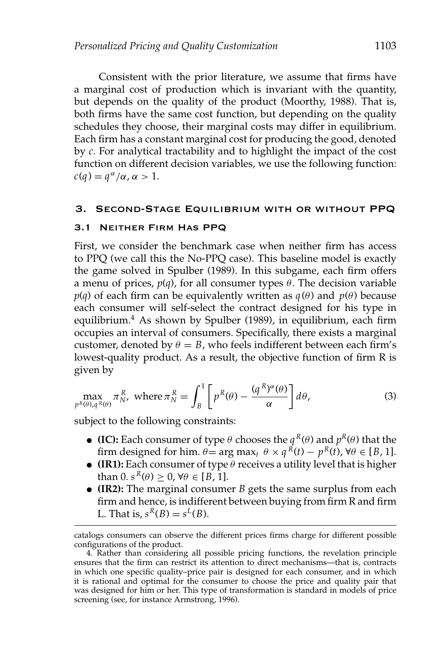Consistent with the prior literature, we assume that firms have a marginal cost of production which is invariant with the quantity, but depends on the quality of the product (Moorthy, 1988). That is, both firms have the same cost function, but depending on the quality schedules they choose, their marginal costs may differ in equilibrium. Each firm has a constant marginal cost for producing the good, denoted by *c*. For analytical tractability and to highlight the impact of the cost function on different decision variables, we use the following function:  $c(q) = q^{\alpha}/\alpha, \alpha > 1.$ 

#### 3. Second-Stage Equilibrium with or without PPQ

#### 3.1 Neither Firm Has PPQ

First, we consider the benchmark case when neither firm has access to PPQ (we call this the No-PPQ case). This baseline model is exactly the game solved in Spulber (1989). In this subgame, each firm offers a menu of prices,  $p(q)$ , for all consumer types  $\theta$ . The decision variable *p*(*q*) of each firm can be equivalently written as  $q(\theta)$  and  $p(\theta)$  because each consumer will self-select the contract designed for his type in equilibrium.<sup>4</sup> As shown by Spulber (1989), in equilibrium, each firm occupies an interval of consumers. Specifically, there exists a marginal customer, denoted by  $\theta = B$ , who feels indifferent between each firm's lowest-quality product. As a result, the objective function of firm R is given by

$$
\max_{p^R(\theta), q^R(\theta)} \pi_{N}^R, \text{ where } \pi_N^R = \int_B^1 \left[ p^R(\theta) - \frac{(q^R)^{\alpha}(\theta)}{\alpha} \right] d\theta,\tag{3}
$$

subject to the following constraints:

- **(IC):** Each consumer of type  $\theta$  chooses the  $q^R(\theta)$  and  $p^R(\theta)$  that the firm designed for him.  $\theta = \arg \max_t \theta \times q^R(t) - p^R(t)$ ,  $\forall \theta \in [B, 1]$ .
- **(IR1):** Each consumer of type  $\theta$  receives a utility level that is higher than 0.  $s^R(\theta) > 0$ ,  $\forall \theta \in [B, 1]$ .
- **• (IR2):** The marginal consumer *B* gets the same surplus from each firm and hence, is indifferent between buying from firm R and firm L. That is,  $s^R(B) = s^L(B)$ .

catalogs consumers can observe the different prices firms charge for different possible configurations of the product.

<sup>4.</sup> Rather than considering all possible pricing functions, the revelation principle ensures that the firm can restrict its attention to direct mechanisms—that is, contracts in which one specific quality–price pair is designed for each consumer, and in which it is rational and optimal for the consumer to choose the price and quality pair that was designed for him or her. This type of transformation is standard in models of price screening (see, for instance Armstrong, 1996).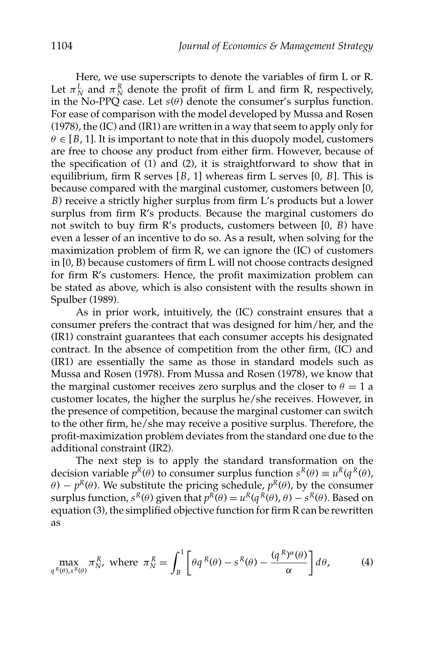Here, we use superscripts to denote the variables of firm L or R. Let  $\pi_N^L$  and  $\pi_N^R$  denote the profit of firm L and firm R, respectively, in the No-PPQ case. Let  $s(\theta)$  denote the consumer's surplus function. For ease of comparison with the model developed by Mussa and Rosen (1978), the (IC) and (IR1) are written in a way that seem to apply only for  $\theta \in [B, 1]$ . It is important to note that in this duopoly model, customers are free to choose any product from either firm. However, because of the specification of (1) and (2), it is straightforward to show that in equilibrium, firm R serves [*B*, 1] whereas firm L serves [0, *B*]. This is because compared with the marginal customer, customers between [0, *B*) receive a strictly higher surplus from firm L's products but a lower surplus from firm R's products. Because the marginal customers do not switch to buy firm R's products, customers between [0, *B*) have even a lesser of an incentive to do so. As a result, when solving for the maximization problem of firm R, we can ignore the (IC) of customers in [0, B) because customers of firm L will not choose contracts designed for firm R's customers. Hence, the profit maximization problem can be stated as above, which is also consistent with the results shown in Spulber (1989).

As in prior work, intuitively, the (IC) constraint ensures that a consumer prefers the contract that was designed for him/her, and the (IR1) constraint guarantees that each consumer accepts his designated contract. In the absence of competition from the other firm, (IC) and (IR1) are essentially the same as those in standard models such as Mussa and Rosen (1978). From Mussa and Rosen (1978), we know that the marginal customer receives zero surplus and the closer to  $\theta = 1$  a customer locates, the higher the surplus he/she receives. However, in the presence of competition, because the marginal customer can switch to the other firm, he/she may receive a positive surplus. Therefore, the profit-maximization problem deviates from the standard one due to the additional constraint (IR2).

The next step is to apply the standard transformation on the decision variable  $p^R(\theta)$  to consumer surplus function  $s^R(\theta) \equiv u^R(q^R(\theta))$ ,  $\theta$ ) –  $p^R(\theta)$ . We substitute the pricing schedule,  $p^R(\theta)$ , by the consumer surplus function,  $s^R(\theta)$  given that  $p^R(\theta) = u^R(q^R(\theta), \theta) - s^R(\theta)$ . Based on equation (3), the simplified objective function for firm R can be rewritten as

$$
\max_{q^R(\theta), s^R(\theta)} \pi^R_{N}, \text{ where } \pi^R_N = \int_B^1 \left[ \theta q^R(\theta) - s^R(\theta) - \frac{(q^R)^{\alpha}(\theta)}{\alpha} \right] d\theta, \tag{4}
$$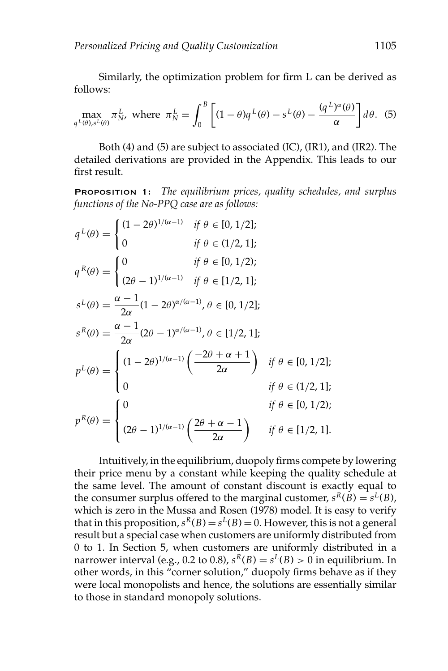Similarly, the optimization problem for firm L can be derived as follows:

$$
\max_{q^L(\theta), s^L(\theta)} \pi^L_{N'} \text{ where } \pi^L_N = \int_0^B \left[ (1 - \theta) q^L(\theta) - s^L(\theta) - \frac{(q^L)^\alpha(\theta)}{\alpha} \right] d\theta. \tag{5}
$$

Both (4) and (5) are subject to associated (IC), (IR1), and (IR2). The detailed derivations are provided in the Appendix. This leads to our first result.

Proposition 1: *The equilibrium prices, quality schedules, and surplus functions of the No-PPQ case are as follows:*

$$
q^{L}(\theta) = \begin{cases} (1 - 2\theta)^{1/(\alpha - 1)} & \text{if } \theta \in [0, 1/2]; \\ 0 & \text{if } \theta \in (1/2, 1]; \end{cases}
$$
  

$$
q^{R}(\theta) = \begin{cases} 0 & \text{if } \theta \in [0, 1/2); \\ (2\theta - 1)^{1/(\alpha - 1)} & \text{if } \theta \in [1/2, 1]; \end{cases}
$$
  

$$
s^{L}(\theta) = \frac{\alpha - 1}{2\alpha} (1 - 2\theta)^{\alpha/(\alpha - 1)}, \theta \in [0, 1/2];
$$
  

$$
s^{R}(\theta) = \frac{\alpha - 1}{2\alpha} (2\theta - 1)^{\alpha/(\alpha - 1)}, \theta \in [1/2, 1];
$$
  

$$
p^{L}(\theta) = \begin{cases} (1 - 2\theta)^{1/(\alpha - 1)} \left( \frac{-2\theta + \alpha + 1}{2\alpha} \right) & \text{if } \theta \in [0, 1/2]; \\ 0 & \text{if } \theta \in (1/2, 1]; \end{cases}
$$
  

$$
p^{R}(\theta) = \begin{cases} 0 & \text{if } \theta \in [0, 1/2); \\ (2\theta - 1)^{1/(\alpha - 1)} \left( \frac{2\theta + \alpha - 1}{2\alpha} \right) & \text{if } \theta \in [1/2, 1]. \end{cases}
$$

Intuitively, in the equilibrium, duopoly firms compete by lowering their price menu by a constant while keeping the quality schedule at the same level. The amount of constant discount is exactly equal to the consumer surplus offered to the marginal customer,  $s^R(B) = s^L(B)$ , which is zero in the Mussa and Rosen (1978) model. It is easy to verify that in this proposition,  $s^R(B) = s^L(B) = 0$ . However, this is not a general result but a special case when customers are uniformly distributed from 0 to 1. In Section 5, when customers are uniformly distributed in a narrower interval (e.g., 0.2 to 0.8),  $s^R(B) = s^L(B) > 0$  in equilibrium. In other words, in this "corner solution," duopoly firms behave as if they were local monopolists and hence, the solutions are essentially similar to those in standard monopoly solutions.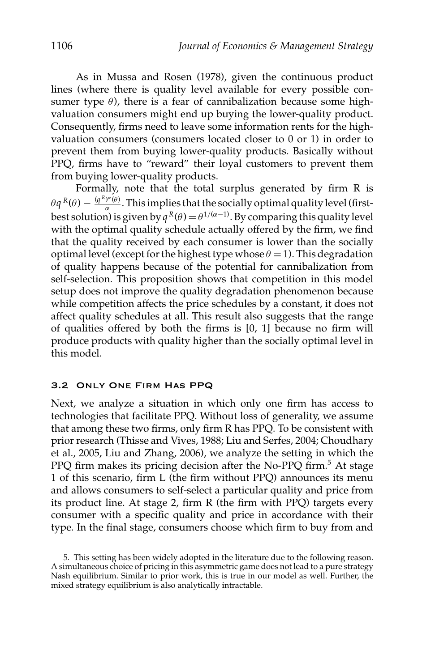As in Mussa and Rosen (1978), given the continuous product lines (where there is quality level available for every possible consumer type  $\theta$ ), there is a fear of cannibalization because some highvaluation consumers might end up buying the lower-quality product. Consequently, firms need to leave some information rents for the highvaluation consumers (consumers located closer to 0 or 1) in order to prevent them from buying lower-quality products. Basically without PPQ, firms have to "reward" their loyal customers to prevent them from buying lower-quality products.

Formally, note that the total surplus generated by firm R is  $\theta q^R(\theta) - \frac{(q^R)^{\alpha}(\theta)}{\alpha}$ . This implies that the socially optimal quality level (firstbest solution) is given by  $q^R(\theta) = \theta^{1/(\alpha-1)}$ . By comparing this quality level with the optimal quality schedule actually offered by the firm, we find that the quality received by each consumer is lower than the socially optimal level (except for the highest type whose  $\theta = 1$ ). This degradation of quality happens because of the potential for cannibalization from self-selection. This proposition shows that competition in this model setup does not improve the quality degradation phenomenon because while competition affects the price schedules by a constant, it does not affect quality schedules at all. This result also suggests that the range of qualities offered by both the firms is [0, 1] because no firm will produce products with quality higher than the socially optimal level in this model.

## 3.2 Only One Firm Has PPQ

Next, we analyze a situation in which only one firm has access to technologies that facilitate PPQ. Without loss of generality, we assume that among these two firms, only firm R has PPQ. To be consistent with prior research (Thisse and Vives, 1988; Liu and Serfes, 2004; Choudhary et al., 2005, Liu and Zhang, 2006), we analyze the setting in which the PPQ firm makes its pricing decision after the No-PPQ firm.<sup>5</sup> At stage 1 of this scenario, firm L (the firm without PPQ) announces its menu and allows consumers to self-select a particular quality and price from its product line. At stage 2, firm R (the firm with PPQ) targets every consumer with a specific quality and price in accordance with their type. In the final stage, consumers choose which firm to buy from and

<sup>5.</sup> This setting has been widely adopted in the literature due to the following reason. A simultaneous choice of pricing in this asymmetric game does not lead to a pure strategy Nash equilibrium. Similar to prior work, this is true in our model as well. Further, the mixed strategy equilibrium is also analytically intractable.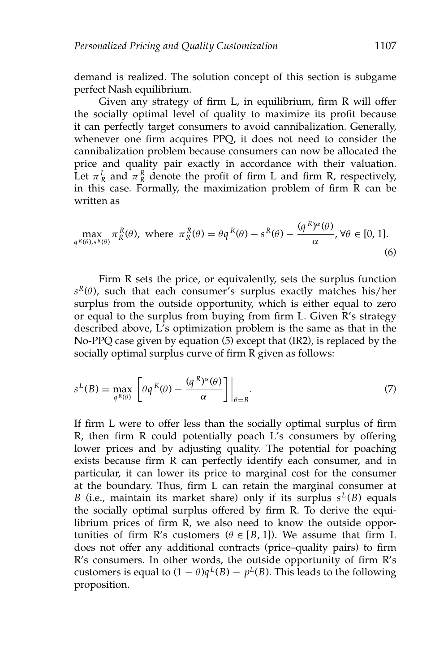demand is realized. The solution concept of this section is subgame perfect Nash equilibrium.

Given any strategy of firm L, in equilibrium, firm R will offer the socially optimal level of quality to maximize its profit because it can perfectly target consumers to avoid cannibalization. Generally, whenever one firm acquires PPQ, it does not need to consider the cannibalization problem because consumers can now be allocated the price and quality pair exactly in accordance with their valuation. Let  $\pi_R^L$  and  $\pi_R^R$  denote the profit of firm L and firm R, respectively, in this case. Formally, the maximization problem of firm  $\overline{R}$  can be written as

$$
\max_{q^R(\theta), s^R(\theta)} \pi_R^R(\theta), \text{ where } \pi_R^R(\theta) = \theta q^R(\theta) - s^R(\theta) - \frac{(q^R)^{\alpha}(\theta)}{\alpha}, \forall \theta \in [0, 1].
$$
\n(6)

Firm R sets the price, or equivalently, sets the surplus function  $s^{R}(\theta)$ , such that each consumer's surplus exactly matches his/her surplus from the outside opportunity, which is either equal to zero or equal to the surplus from buying from firm L. Given R's strategy described above, L's optimization problem is the same as that in the No-PPQ case given by equation (5) except that (IR2), is replaced by the socially optimal surplus curve of firm R given as follows:

$$
s^{L}(B) = \max_{q^{R}(\theta)} \left[ \theta q^{R}(\theta) - \frac{(q^{R})^{\alpha}(\theta)}{\alpha} \right] \bigg|_{\theta = B}.
$$
 (7)

If firm L were to offer less than the socially optimal surplus of firm R, then firm R could potentially poach L's consumers by offering lower prices and by adjusting quality. The potential for poaching exists because firm R can perfectly identify each consumer, and in particular, it can lower its price to marginal cost for the consumer at the boundary. Thus, firm L can retain the marginal consumer at *B* (i.e., maintain its market share) only if its surplus  $s^L(B)$  equals the socially optimal surplus offered by firm R. To derive the equilibrium prices of firm R, we also need to know the outside opportunities of firm R's customers ( $\theta \in [B, 1]$ ). We assume that firm L does not offer any additional contracts (price–quality pairs) to firm R's consumers. In other words, the outside opportunity of firm R's customers is equal to  $(1 - \theta)q^{L}(B) - p^{L}(B)$ . This leads to the following proposition.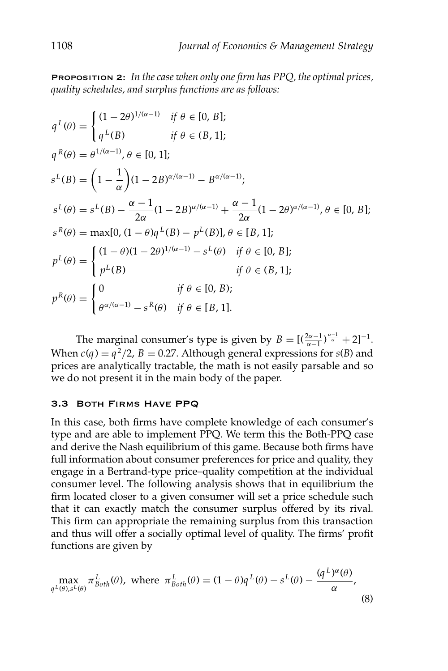Proposition 2: *In the case when only one firm has PPQ, the optimal prices, quality schedules, and surplus functions are as follows:*

$$
q^{L}(\theta) = \begin{cases} (1 - 2\theta)^{1/(\alpha - 1)} & \text{if } \theta \in [0, B]; \\ q^{L}(B) & \text{if } \theta \in (B, 1]; \end{cases}
$$
  
\n
$$
q^{R}(\theta) = \theta^{1/(\alpha - 1)}, \theta \in [0, 1];
$$
  
\n
$$
s^{L}(B) = \left(1 - \frac{1}{\alpha}\right)(1 - 2B)^{\alpha/(\alpha - 1)} - B^{\alpha/(\alpha - 1)};
$$
  
\n
$$
s^{L}(\theta) = s^{L}(B) - \frac{\alpha - 1}{2\alpha}(1 - 2B)^{\alpha/(\alpha - 1)} + \frac{\alpha - 1}{2\alpha}(1 - 2\theta)^{\alpha/(\alpha - 1)}, \theta \in [0, B];
$$
  
\n
$$
s^{R}(\theta) = \max[0, (1 - \theta)q^{L}(B) - p^{L}(B)], \theta \in [B, 1];
$$
  
\n
$$
p^{L}(\theta) = \begin{cases} (1 - \theta)(1 - 2\theta)^{1/(\alpha - 1)} - s^{L}(\theta) & \text{if } \theta \in [0, B]; \\ p^{L}(B) & \text{if } \theta \in (B, 1]; \end{cases}
$$
  
\n
$$
p^{R}(\theta) = \begin{cases} 0 & \text{if } \theta \in [0, B); \\ \theta^{\alpha/(\alpha - 1)} - s^{R}(\theta) & \text{if } \theta \in [B, 1]. \end{cases}
$$

The marginal consumer's type is given by  $B = [(\frac{2\alpha-1}{\alpha-1})^{\frac{\alpha-1}{\alpha}} + 2]^{-1}$ . When  $c(q) = q^2/2$ ,  $B = 0.27$ . Although general expressions for *s*(*B*) and prices are analytically tractable, the math is not easily parsable and so we do not present it in the main body of the paper.

## 3.3 Both Firms Have PPQ

In this case, both firms have complete knowledge of each consumer's type and are able to implement PPQ. We term this the Both-PPQ case and derive the Nash equilibrium of this game. Because both firms have full information about consumer preferences for price and quality, they engage in a Bertrand-type price–quality competition at the individual consumer level. The following analysis shows that in equilibrium the firm located closer to a given consumer will set a price schedule such that it can exactly match the consumer surplus offered by its rival. This firm can appropriate the remaining surplus from this transaction and thus will offer a socially optimal level of quality. The firms' profit functions are given by

$$
\max_{q^L(\theta), s^L(\theta)} \pi^L_{Both}(\theta), \text{ where } \pi^L_{Both}(\theta) = (1 - \theta)q^L(\theta) - s^L(\theta) - \frac{(q^L)^{\alpha}(\theta)}{\alpha},
$$
\n(8)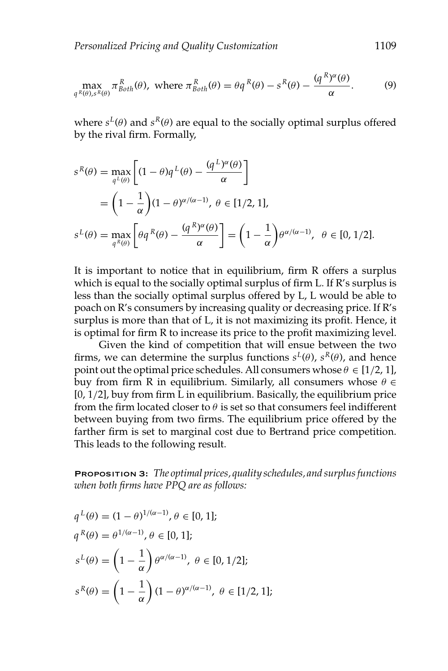$$
\max_{q^R(\theta), s^R(\theta)} \pi^R_{Both}(\theta), \text{ where } \pi^R_{Both}(\theta) = \theta q^R(\theta) - s^R(\theta) - \frac{(q^R)^{\alpha}(\theta)}{\alpha}.
$$
 (9)

where  $s^L(\theta)$  and  $s^R(\theta)$  are equal to the socially optimal surplus offered by the rival firm. Formally,

$$
s^{R}(\theta) = \max_{q^{L}(\theta)} \left[ (1 - \theta) q^{L}(\theta) - \frac{(q^{L})^{\alpha}(\theta)}{\alpha} \right]
$$
  
=  $\left( 1 - \frac{1}{\alpha} \right) (1 - \theta)^{\alpha/(\alpha - 1)}, \ \theta \in [1/2, 1],$   

$$
s^{L}(\theta) = \max_{q^{R}(\theta)} \left[ \theta q^{R}(\theta) - \frac{(q^{R})^{\alpha}(\theta)}{\alpha} \right] = \left( 1 - \frac{1}{\alpha} \right) \theta^{\alpha/(\alpha - 1)}, \ \theta \in [0, 1/2].
$$

It is important to notice that in equilibrium, firm R offers a surplus which is equal to the socially optimal surplus of firm L. If R's surplus is less than the socially optimal surplus offered by L, L would be able to poach on R's consumers by increasing quality or decreasing price. If R's surplus is more than that of L, it is not maximizing its profit. Hence, it is optimal for firm R to increase its price to the profit maximizing level.

Given the kind of competition that will ensue between the two firms, we can determine the surplus functions  $s^L(\theta)$ ,  $s^R(\theta)$ , and hence point out the optimal price schedules. All consumers whose  $\theta \in [1/2, 1]$ , buy from firm R in equilibrium. Similarly, all consumers whose  $\theta \in$ [0, 1/2], buy from firm L in equilibrium. Basically, the equilibrium price from the firm located closer to  $\theta$  is set so that consumers feel indifferent between buying from two firms. The equilibrium price offered by the farther firm is set to marginal cost due to Bertrand price competition. This leads to the following result.

Proposition 3: *The optimal prices, quality schedules, and surplus functions when both firms have PPQ are as follows:*

$$
q^{L}(\theta) = (1 - \theta)^{1/(\alpha - 1)}, \theta \in [0, 1];
$$
  
\n
$$
q^{R}(\theta) = \theta^{1/(\alpha - 1)}, \theta \in [0, 1];
$$
  
\n
$$
s^{L}(\theta) = \left(1 - \frac{1}{\alpha}\right) \theta^{\alpha/(\alpha - 1)}, \theta \in [0, 1/2];
$$
  
\n
$$
s^{R}(\theta) = \left(1 - \frac{1}{\alpha}\right) (1 - \theta)^{\alpha/(\alpha - 1)}, \theta \in [1/2, 1];
$$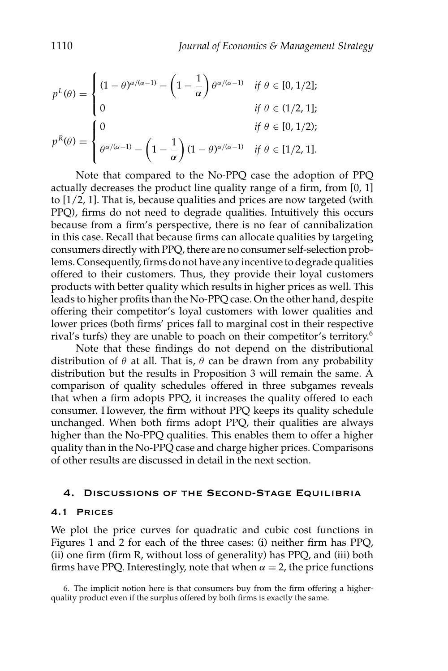$$
p^{L}(\theta) = \begin{cases} (1 - \theta)^{\alpha/(\alpha - 1)} - \left(1 - \frac{1}{\alpha}\right) \theta^{\alpha/(\alpha - 1)} & \text{if } \theta \in [0, 1/2]; \\ 0 & \text{if } \theta \in (1/2, 1]; \end{cases}
$$

$$
p^{R}(\theta) = \begin{cases} 0 & \text{if } \theta \in [0, 1/2); \\ \theta^{\alpha/(\alpha - 1)} - \left(1 - \frac{1}{\alpha}\right)(1 - \theta)^{\alpha/(\alpha - 1)} & \text{if } \theta \in [1/2, 1]. \end{cases}
$$

Note that compared to the No-PPQ case the adoption of PPQ actually decreases the product line quality range of a firm, from [0, 1] to [1/2, 1]. That is, because qualities and prices are now targeted (with PPQ), firms do not need to degrade qualities. Intuitively this occurs because from a firm's perspective, there is no fear of cannibalization in this case. Recall that because firms can allocate qualities by targeting consumers directly with PPQ, there are no consumer self-selection problems. Consequently, firms do not have any incentive to degrade qualities offered to their customers. Thus, they provide their loyal customers products with better quality which results in higher prices as well. This leads to higher profits than the No-PPQ case. On the other hand, despite offering their competitor's loyal customers with lower qualities and lower prices (both firms' prices fall to marginal cost in their respective rival's turfs) they are unable to poach on their competitor's territory.<sup>6</sup>

Note that these findings do not depend on the distributional distribution of  $\theta$  at all. That is,  $\theta$  can be drawn from any probability distribution but the results in Proposition 3 will remain the same. A comparison of quality schedules offered in three subgames reveals that when a firm adopts PPQ, it increases the quality offered to each consumer. However, the firm without PPQ keeps its quality schedule unchanged. When both firms adopt PPQ, their qualities are always higher than the No-PPQ qualities. This enables them to offer a higher quality than in the No-PPQ case and charge higher prices. Comparisons of other results are discussed in detail in the next section.

#### 4. Discussions of the Second-Stage Equilibria

#### 4.1 Prices

We plot the price curves for quadratic and cubic cost functions in Figures 1 and 2 for each of the three cases: (i) neither firm has PPQ, (ii) one firm (firm R, without loss of generality) has PPQ, and (iii) both firms have PPQ. Interestingly, note that when  $\alpha = 2$ , the price functions

6. The implicit notion here is that consumers buy from the firm offering a higherquality product even if the surplus offered by both firms is exactly the same.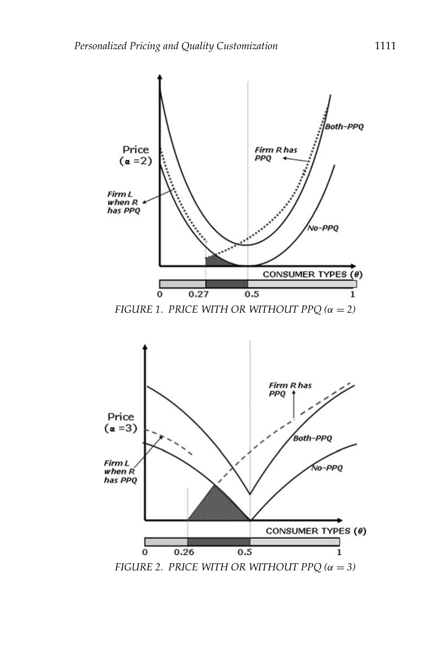

*FIGURE 2. PRICE WITH OR WITHOUT PPQ*  $(\alpha = 3)$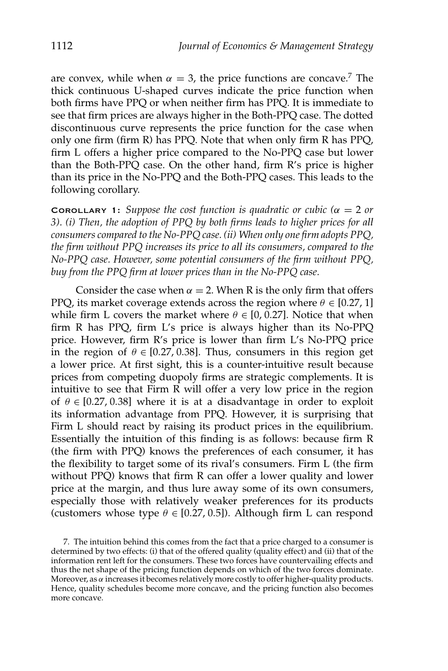are convex, while when  $\alpha = 3$ , the price functions are concave.<sup>7</sup> The thick continuous U-shaped curves indicate the price function when both firms have PPQ or when neither firm has PPQ. It is immediate to see that firm prices are always higher in the Both-PPQ case. The dotted discontinuous curve represents the price function for the case when only one firm (firm R) has PPQ. Note that when only firm R has PPQ, firm L offers a higher price compared to the No-PPQ case but lower than the Both-PPQ case. On the other hand, firm R's price is higher than its price in the No-PPQ and the Both-PPQ cases. This leads to the following corollary.

COROLLARY 1: *Suppose the cost function is quadratic or cubic (* $\alpha = 2$  *or 3). (i) Then, the adoption of PPQ by both firms leads to higher prices for all consumers compared to the No-PPQ case. (ii) When only one firm adopts PPQ, the firm without PPQ increases its price to all its consumers, compared to the No-PPQ case. However, some potential consumers of the firm without PPQ, buy from the PPQ firm at lower prices than in the No-PPQ case.*

Consider the case when  $\alpha = 2$ . When R is the only firm that offers PPQ, its market coverage extends across the region where  $\theta \in [0.27, 1]$ while firm L covers the market where  $\theta \in [0, 0.27]$ . Notice that when firm R has PPQ, firm L's price is always higher than its No-PPQ price. However, firm R's price is lower than firm L's No-PPQ price in the region of  $\theta \in [0.27, 0.38]$ . Thus, consumers in this region get a lower price. At first sight, this is a counter-intuitive result because prices from competing duopoly firms are strategic complements. It is intuitive to see that Firm R will offer a very low price in the region of  $\theta \in [0.27, 0.38]$  where it is at a disadvantage in order to exploit its information advantage from PPQ. However, it is surprising that Firm L should react by raising its product prices in the equilibrium. Essentially the intuition of this finding is as follows: because firm R (the firm with PPQ) knows the preferences of each consumer, it has the flexibility to target some of its rival's consumers. Firm L (the firm without PPQ) knows that firm R can offer a lower quality and lower price at the margin, and thus lure away some of its own consumers, especially those with relatively weaker preferences for its products (customers whose type  $\theta \in [0.27, 0.5]$ ). Although firm L can respond

<sup>7.</sup> The intuition behind this comes from the fact that a price charged to a consumer is determined by two effects: (i) that of the offered quality (quality effect) and (ii) that of the information rent left for the consumers. These two forces have countervailing effects and thus the net shape of the pricing function depends on which of the two forces dominate. Moreover, as  $\alpha$  increases it becomes relatively more costly to offer higher-quality products. Hence, quality schedules become more concave, and the pricing function also becomes more concave.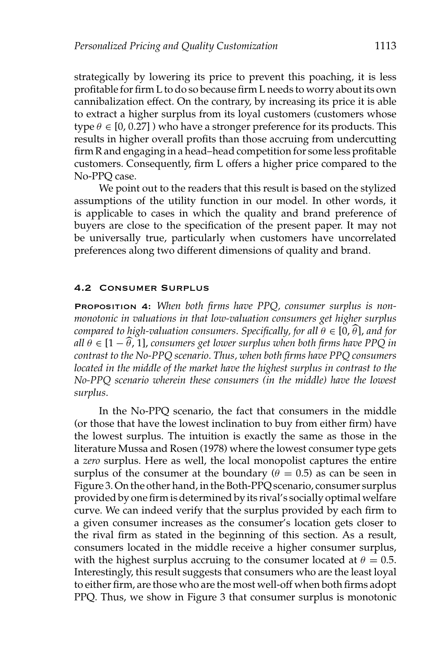strategically by lowering its price to prevent this poaching, it is less profitable for firm L to do so because firm L needs to worry about its own cannibalization effect. On the contrary, by increasing its price it is able to extract a higher surplus from its loyal customers (customers whose type  $\theta \in [0, 0.27]$  ) who have a stronger preference for its products. This results in higher overall profits than those accruing from undercutting firm R and engaging in a head–head competition for some less profitable customers. Consequently, firm L offers a higher price compared to the No-PPQ case.

We point out to the readers that this result is based on the stylized assumptions of the utility function in our model. In other words, it is applicable to cases in which the quality and brand preference of buyers are close to the specification of the present paper. It may not be universally true, particularly when customers have uncorrelated preferences along two different dimensions of quality and brand.

#### 4.2 Consumer Surplus

PROPOSITION 4: When both firms have PPQ, consumer surplus is non*monotonic in valuations in that low-valuation consumers get higher surplus compared to high-valuation consumers. Specifically, for all*  $\theta \in [0, \theta]$ , *and for*  $all \theta \in [1 - \widehat{\theta}, 1]$ , *consumers get lower surplus when both firms have PPO in contrast to the No-PPQ scenario. Thus, when both firms have PPQ consumers located in the middle of the market have the highest surplus in contrast to the No-PPQ scenario wherein these consumers (in the middle) have the lowest surplus.*

In the No-PPQ scenario, the fact that consumers in the middle (or those that have the lowest inclination to buy from either firm) have the lowest surplus. The intuition is exactly the same as those in the literature Mussa and Rosen (1978) where the lowest consumer type gets a *zero* surplus. Here as well, the local monopolist captures the entire surplus of the consumer at the boundary ( $\theta = 0.5$ ) as can be seen in Figure 3. On the other hand, in the Both-PPQ scenario, consumer surplus provided by one firm is determined by its rival's socially optimal welfare curve. We can indeed verify that the surplus provided by each firm to a given consumer increases as the consumer's location gets closer to the rival firm as stated in the beginning of this section. As a result, consumers located in the middle receive a higher consumer surplus, with the highest surplus accruing to the consumer located at  $\theta = 0.5$ . Interestingly, this result suggests that consumers who are the least loyal to either firm, are those who are the most well-off when both firms adopt PPQ. Thus, we show in Figure 3 that consumer surplus is monotonic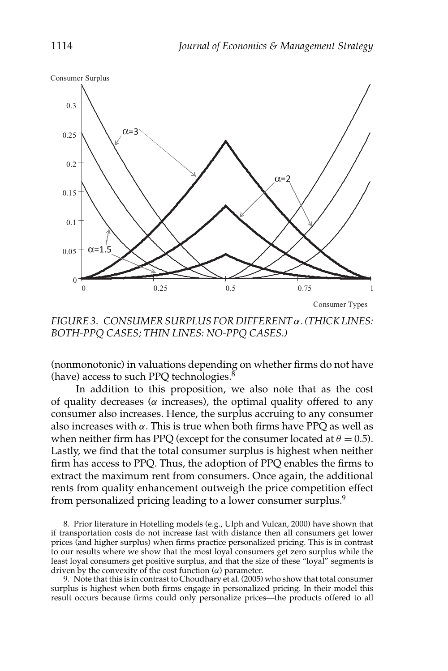

*FIGURE 3*. *CONSUMER SURPLUS FOR DIFFERENT* α*. (THICK LINES: BOTH-PPQ CASES; THIN LINES: NO-PPQ CASES.)*

(nonmonotonic) in valuations depending on whether firms do not have (have) access to such PPQ technologies. $8$ 

In addition to this proposition, we also note that as the cost of quality decreases ( $\alpha$  increases), the optimal quality offered to any consumer also increases. Hence, the surplus accruing to any consumer also increases with  $\alpha$ . This is true when both firms have PPO as well as when neither firm has PPO (except for the consumer located at  $\theta = 0.5$ ). Lastly, we find that the total consumer surplus is highest when neither firm has access to PPQ. Thus, the adoption of PPQ enables the firms to extract the maximum rent from consumers. Once again, the additional rents from quality enhancement outweigh the price competition effect from personalized pricing leading to a lower consumer surplus.<sup>9</sup>

8. Prior literature in Hotelling models (e.g., Ulph and Vulcan, 2000) have shown that if transportation costs do not increase fast with distance then all consumers get lower prices (and higher surplus) when firms practice personalized pricing. This is in contrast to our results where we show that the most loyal consumers get zero surplus while the least loyal consumers get positive surplus, and that the size of these "loyal" segments is driven by the convexity of the cost function  $(\alpha)$  parameter.

9. Note that this is in contrast to Choudhary et al. (2005) who show that total consumer surplus is highest when both firms engage in personalized pricing. In their model this result occurs because firms could only personalize prices—the products offered to all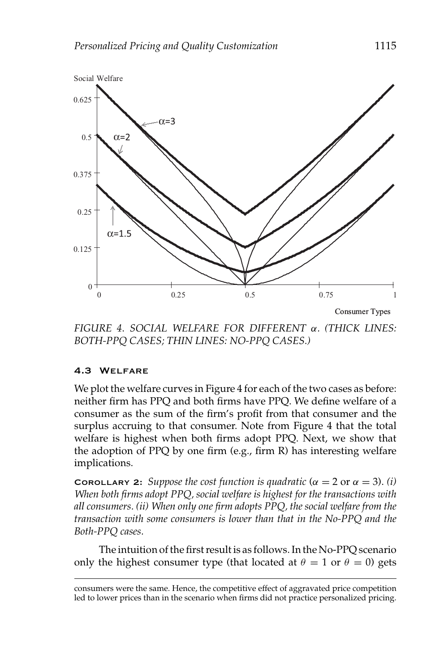

*FIGURE 4*. *SOCIAL WELFARE FOR DIFFERENT* α*. (THICK LINES: BOTH-PPQ CASES; THIN LINES: NO-PPQ CASES.)*

## 4.3 Welfare

We plot the welfare curves in Figure 4 for each of the two cases as before: neither firm has PPQ and both firms have PPQ. We define welfare of a consumer as the sum of the firm's profit from that consumer and the surplus accruing to that consumer. Note from Figure 4 that the total welfare is highest when both firms adopt PPQ. Next, we show that the adoption of PPQ by one firm (e.g., firm R) has interesting welfare implications.

COROLLARY 2: *Suppose the cost function is quadratic* ( $\alpha = 2$  or  $\alpha = 3$ ). *(i) When both firms adopt PPQ, social welfare is highest for the transactions with all consumers. (ii) When only one firm adopts PPQ, the social welfare from the transaction with some consumers is lower than that in the No-PPQ and the Both-PPQ cases.*

The intuition of the first result is as follows. In the No-PPQ scenario only the highest consumer type (that located at  $\theta = 1$  or  $\theta = 0$ ) gets

consumers were the same. Hence, the competitive effect of aggravated price competition led to lower prices than in the scenario when firms did not practice personalized pricing.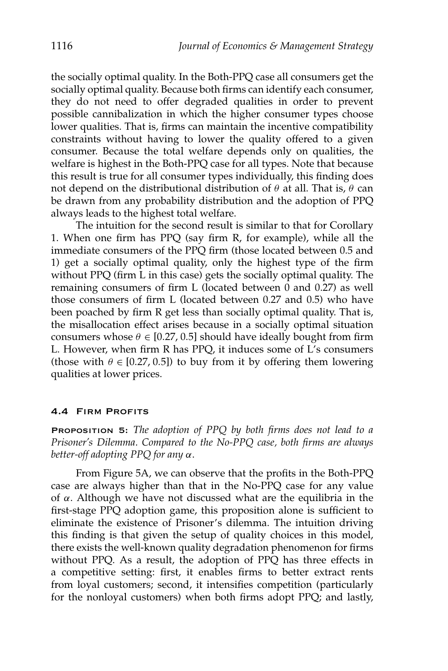the socially optimal quality. In the Both-PPQ case all consumers get the socially optimal quality. Because both firms can identify each consumer, they do not need to offer degraded qualities in order to prevent possible cannibalization in which the higher consumer types choose lower qualities. That is, firms can maintain the incentive compatibility constraints without having to lower the quality offered to a given consumer. Because the total welfare depends only on qualities, the welfare is highest in the Both-PPQ case for all types. Note that because this result is true for all consumer types individually, this finding does not depend on the distributional distribution of  $θ$  at all. That is,  $θ$  can be drawn from any probability distribution and the adoption of PPQ always leads to the highest total welfare.

The intuition for the second result is similar to that for Corollary 1. When one firm has PPQ (say firm R, for example), while all the immediate consumers of the PPQ firm (those located between 0.5 and 1) get a socially optimal quality, only the highest type of the firm without PPQ (firm L in this case) gets the socially optimal quality. The remaining consumers of firm L (located between 0 and 0.27) as well those consumers of firm L (located between 0.27 and 0.5) who have been poached by firm R get less than socially optimal quality. That is, the misallocation effect arises because in a socially optimal situation consumers whose  $\theta \in [0.27, 0.5]$  should have ideally bought from firm L. However, when firm R has PPQ, it induces some of L's consumers (those with  $\theta \in [0.27, 0.5]$ ) to buy from it by offering them lowering qualities at lower prices.

#### 4.4 Firm Profits

Proposition 5: *The adoption of PPQ by both firms does not lead to a Prisoner's Dilemma. Compared to the No-PPQ case, both firms are always better-off adopting PPQ for any* α.

From Figure 5A, we can observe that the profits in the Both-PPQ case are always higher than that in the No-PPQ case for any value of  $\alpha$ . Although we have not discussed what are the equilibria in the first-stage PPQ adoption game, this proposition alone is sufficient to eliminate the existence of Prisoner's dilemma. The intuition driving this finding is that given the setup of quality choices in this model, there exists the well-known quality degradation phenomenon for firms without PPQ. As a result, the adoption of PPQ has three effects in a competitive setting: first, it enables firms to better extract rents from loyal customers; second, it intensifies competition (particularly for the nonloyal customers) when both firms adopt PPQ; and lastly,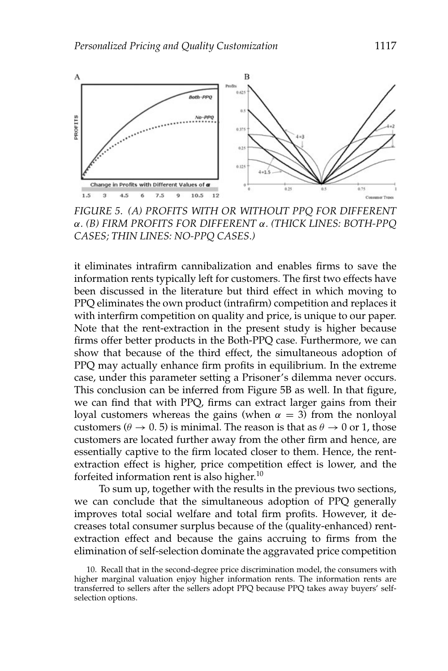

*FIGURE 5*. *(A) PROFITS WITH OR WITHOUT PPQ FOR DIFFERENT* α*. (B) FIRM PROFITS FOR DIFFERENT* α*. (THICK LINES: BOTH-PPQ CASES; THIN LINES: NO-PPQ CASES.)*

it eliminates intrafirm cannibalization and enables firms to save the information rents typically left for customers. The first two effects have been discussed in the literature but third effect in which moving to PPQ eliminates the own product (intrafirm) competition and replaces it with interfirm competition on quality and price, is unique to our paper. Note that the rent-extraction in the present study is higher because firms offer better products in the Both-PPQ case. Furthermore, we can show that because of the third effect, the simultaneous adoption of PPQ may actually enhance firm profits in equilibrium. In the extreme case, under this parameter setting a Prisoner's dilemma never occurs. This conclusion can be inferred from Figure 5B as well. In that figure, we can find that with PPQ, firms can extract larger gains from their loyal customers whereas the gains (when  $\alpha = 3$ ) from the nonloyal customers ( $\theta \to 0$ . 5) is minimal. The reason is that as  $\theta \to 0$  or 1, those customers are located further away from the other firm and hence, are essentially captive to the firm located closer to them. Hence, the rentextraction effect is higher, price competition effect is lower, and the forfeited information rent is also higher.<sup>10</sup>

To sum up, together with the results in the previous two sections, we can conclude that the simultaneous adoption of PPQ generally improves total social welfare and total firm profits. However, it decreases total consumer surplus because of the (quality-enhanced) rentextraction effect and because the gains accruing to firms from the elimination of self-selection dominate the aggravated price competition

<sup>10.</sup> Recall that in the second-degree price discrimination model, the consumers with higher marginal valuation enjoy higher information rents. The information rents are transferred to sellers after the sellers adopt PPQ because PPQ takes away buyers' selfselection options.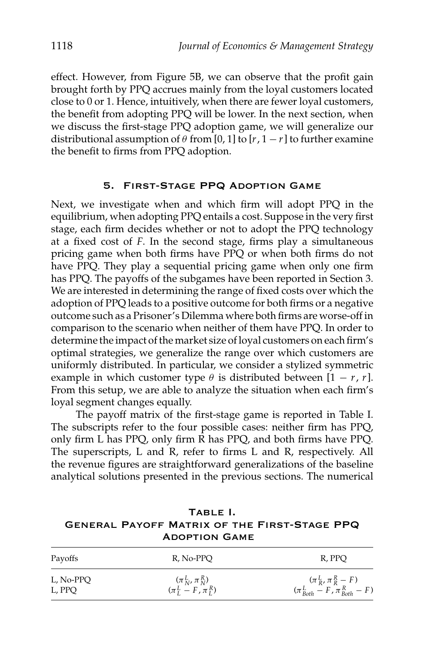effect. However, from Figure 5B, we can observe that the profit gain brought forth by PPQ accrues mainly from the loyal customers located close to 0 or 1. Hence, intuitively, when there are fewer loyal customers, the benefit from adopting PPQ will be lower. In the next section, when we discuss the first-stage PPQ adoption game, we will generalize our distributional assumption of  $\theta$  from [0, 1] to [ $r$ , 1 –  $r$ ] to further examine the benefit to firms from PPQ adoption.

#### 5. First-Stage PPQ Adoption Game

Next, we investigate when and which firm will adopt PPQ in the equilibrium, when adopting PPQ entails a cost. Suppose in the very first stage, each firm decides whether or not to adopt the PPQ technology at a fixed cost of *F*. In the second stage, firms play a simultaneous pricing game when both firms have PPQ or when both firms do not have PPQ. They play a sequential pricing game when only one firm has PPQ. The payoffs of the subgames have been reported in Section 3. We are interested in determining the range of fixed costs over which the adoption of PPQ leads to a positive outcome for both firms or a negative outcome such as a Prisoner's Dilemma where both firms are worse-off in comparison to the scenario when neither of them have PPQ. In order to determine the impact of the market size of loyal customers on each firm's optimal strategies, we generalize the range over which customers are uniformly distributed. In particular, we consider a stylized symmetric example in which customer type  $\theta$  is distributed between  $[1 - r, r]$ . From this setup, we are able to analyze the situation when each firm's loyal segment changes equally.

The payoff matrix of the first-stage game is reported in Table I. The subscripts refer to the four possible cases: neither firm has PPQ, only firm L has PPQ, only firm R has PPQ, and both firms have PPQ. The superscripts, L and R, refer to firms L and R, respectively. All the revenue figures are straightforward generalizations of the baseline analytical solutions presented in the previous sections. The numerical

TABLE I. General Payoff Matrix of the First-Stage PPQ Adoption Game

| Payoffs   | R, No-PPQ                | R, PPO                                 |
|-----------|--------------------------|----------------------------------------|
| L, No-PPQ | $(\pi_N^L, \pi_N^R)$     | $(\pi^L_R, \pi^R_R - F)$               |
| L, PPQ    | $(\pi_L^L - F, \pi_L^R)$ | $(\pi_{Both}^L - F, \pi_{Both}^R - F)$ |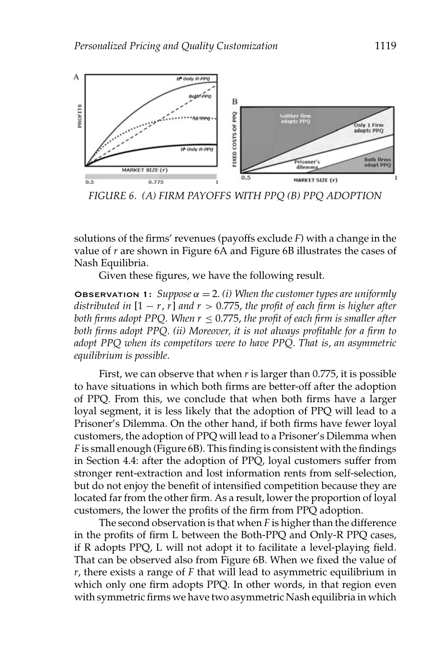

*FIGURE 6*. *(A) FIRM PAYOFFS WITH PPQ (B) PPQ ADOPTION*

solutions of the firms' revenues (payoffs exclude *F*) with a change in the value of *r* are shown in Figure 6A and Figure 6B illustrates the cases of Nash Equilibria.

Given these figures, we have the following result.

**OBSERVATION 1:** *Suppose*  $\alpha = 2$ . *(i) When the customer types are uniformly distributed in*  $[1 - r, r]$  *and*  $r > 0.775$ , *the profit of each firm is higher after both firms adopt PPQ. When r* ≤ 0.775, *the profit of each firm is smaller after both firms adopt PPQ. (ii) Moreover, it is not always profitable for a firm to adopt PPQ when its competitors were to have PPQ. That is, an asymmetric equilibrium is possible.*

First, we can observe that when *r* is larger than 0.775, it is possible to have situations in which both firms are better-off after the adoption of PPQ. From this, we conclude that when both firms have a larger loyal segment, it is less likely that the adoption of PPQ will lead to a Prisoner's Dilemma. On the other hand, if both firms have fewer loyal customers, the adoption of PPQ will lead to a Prisoner's Dilemma when *F* is small enough (Figure 6B). This finding is consistent with the findings in Section 4.4: after the adoption of PPQ, loyal customers suffer from stronger rent-extraction and lost information rents from self-selection, but do not enjoy the benefit of intensified competition because they are located far from the other firm. As a result, lower the proportion of loyal customers, the lower the profits of the firm from PPQ adoption.

The second observation is that when *F* is higher than the difference in the profits of firm L between the Both-PPQ and Only-R PPQ cases, if R adopts PPQ, L will not adopt it to facilitate a level-playing field. That can be observed also from Figure 6B. When we fixed the value of *r*, there exists a range of *F* that will lead to asymmetric equilibrium in which only one firm adopts PPQ. In other words, in that region even with symmetric firms we have two asymmetric Nash equilibria in which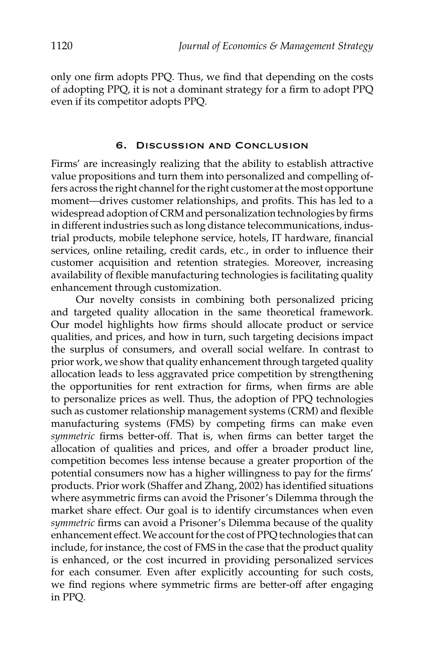only one firm adopts PPQ. Thus, we find that depending on the costs of adopting PPQ, it is not a dominant strategy for a firm to adopt PPQ even if its competitor adopts PPQ.

#### 6. Discussion and Conclusion

Firms' are increasingly realizing that the ability to establish attractive value propositions and turn them into personalized and compelling offers across the right channel for the right customer at the most opportune moment—drives customer relationships, and profits. This has led to a widespread adoption of CRM and personalization technologies by firms in different industries such as long distance telecommunications, industrial products, mobile telephone service, hotels, IT hardware, financial services, online retailing, credit cards, etc., in order to influence their customer acquisition and retention strategies. Moreover, increasing availability of flexible manufacturing technologies is facilitating quality enhancement through customization.

Our novelty consists in combining both personalized pricing and targeted quality allocation in the same theoretical framework. Our model highlights how firms should allocate product or service qualities, and prices, and how in turn, such targeting decisions impact the surplus of consumers, and overall social welfare. In contrast to prior work, we show that quality enhancement through targeted quality allocation leads to less aggravated price competition by strengthening the opportunities for rent extraction for firms, when firms are able to personalize prices as well. Thus, the adoption of PPQ technologies such as customer relationship management systems (CRM) and flexible manufacturing systems (FMS) by competing firms can make even *symmetric* firms better-off. That is, when firms can better target the allocation of qualities and prices, and offer a broader product line, competition becomes less intense because a greater proportion of the potential consumers now has a higher willingness to pay for the firms' products. Prior work (Shaffer and Zhang, 2002) has identified situations where asymmetric firms can avoid the Prisoner's Dilemma through the market share effect. Our goal is to identify circumstances when even *symmetric* firms can avoid a Prisoner's Dilemma because of the quality enhancement effect.We account for the cost of PPQ technologies that can include, for instance, the cost of FMS in the case that the product quality is enhanced, or the cost incurred in providing personalized services for each consumer. Even after explicitly accounting for such costs, we find regions where symmetric firms are better-off after engaging in PPQ.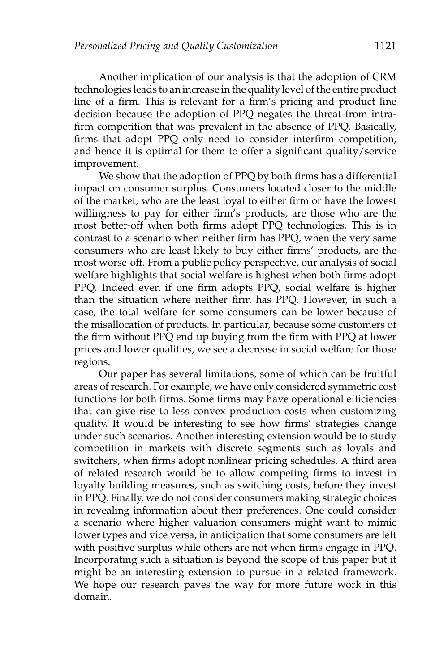Another implication of our analysis is that the adoption of CRM technologies leads to an increase in the quality level of the entire product line of a firm. This is relevant for a firm's pricing and product line decision because the adoption of PPQ negates the threat from intrafirm competition that was prevalent in the absence of PPQ. Basically, firms that adopt PPQ only need to consider interfirm competition, and hence it is optimal for them to offer a significant quality/service improvement.

We show that the adoption of PPQ by both firms has a differential impact on consumer surplus. Consumers located closer to the middle of the market, who are the least loyal to either firm or have the lowest willingness to pay for either firm's products, are those who are the most better-off when both firms adopt PPQ technologies. This is in contrast to a scenario when neither firm has PPQ, when the very same consumers who are least likely to buy either firms' products, are the most worse-off. From a public policy perspective, our analysis of social welfare highlights that social welfare is highest when both firms adopt PPQ. Indeed even if one firm adopts PPQ, social welfare is higher than the situation where neither firm has PPQ. However, in such a case, the total welfare for some consumers can be lower because of the misallocation of products. In particular, because some customers of the firm without PPQ end up buying from the firm with PPQ at lower prices and lower qualities, we see a decrease in social welfare for those regions.

Our paper has several limitations, some of which can be fruitful areas of research. For example, we have only considered symmetric cost functions for both firms. Some firms may have operational efficiencies that can give rise to less convex production costs when customizing quality. It would be interesting to see how firms' strategies change under such scenarios. Another interesting extension would be to study competition in markets with discrete segments such as loyals and switchers, when firms adopt nonlinear pricing schedules. A third area of related research would be to allow competing firms to invest in loyalty building measures, such as switching costs, before they invest in PPQ. Finally, we do not consider consumers making strategic choices in revealing information about their preferences. One could consider a scenario where higher valuation consumers might want to mimic lower types and vice versa, in anticipation that some consumers are left with positive surplus while others are not when firms engage in PPQ. Incorporating such a situation is beyond the scope of this paper but it might be an interesting extension to pursue in a related framework. We hope our research paves the way for more future work in this domain.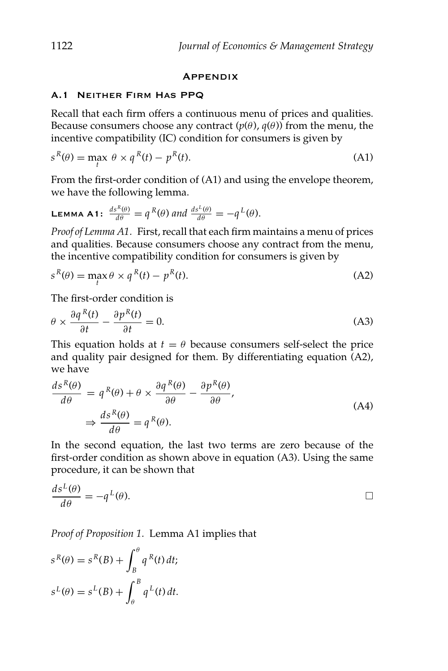## **APPENDIX**

## A.1 Neither Firm Has PPQ

Recall that each firm offers a continuous menu of prices and qualities. Because consumers choose any contract  $(p(\theta), q(\theta))$  from the menu, the incentive compatibility (IC) condition for consumers is given by

$$
s^{R}(\theta) = \max_{t} \theta \times q^{R}(t) - p^{R}(t). \tag{A1}
$$

From the first-order condition of (A1) and using the envelope theorem, we have the following lemma.

**LEMMA A1:** 
$$
\frac{ds^R(\theta)}{d\theta} = q^R(\theta)
$$
 and  $\frac{ds^L(\theta)}{d\theta} = -q^L(\theta)$ .

*Proof of Lemma A1.* First, recall that each firm maintains a menu of prices and qualities. Because consumers choose any contract from the menu, the incentive compatibility condition for consumers is given by

$$
s^{R}(\theta) = \max_{t} \theta \times q^{R}(t) - p^{R}(t). \tag{A2}
$$

The first-order condition is

$$
\theta \times \frac{\partial q^{R}(t)}{\partial t} - \frac{\partial p^{R}(t)}{\partial t} = 0.
$$
 (A3)

This equation holds at  $t = \theta$  because consumers self-select the price and quality pair designed for them. By differentiating equation (A2), we have

$$
\frac{ds^{R}(\theta)}{d\theta} = q^{R}(\theta) + \theta \times \frac{\partial q^{R}(\theta)}{\partial \theta} - \frac{\partial p^{R}(\theta)}{\partial \theta},
$$
  

$$
\Rightarrow \frac{ds^{R}(\theta)}{d\theta} = q^{R}(\theta).
$$
 (A4)

In the second equation, the last two terms are zero because of the first-order condition as shown above in equation (A3). Using the same procedure, it can be shown that

$$
\frac{ds^L(\theta)}{d\theta} = -q^L(\theta). \qquad \qquad \Box
$$

*Proof of Proposition 1.* Lemma A1 implies that

$$
s^{R}(\theta) = s^{R}(B) + \int_{B}^{\theta} q^{R}(t) dt;
$$
  

$$
s^{L}(\theta) = s^{L}(B) + \int_{\theta}^{B} q^{L}(t) dt.
$$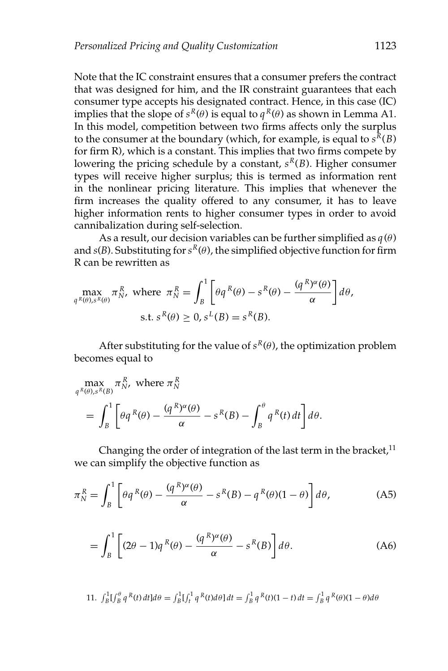Note that the IC constraint ensures that a consumer prefers the contract that was designed for him, and the IR constraint guarantees that each consumer type accepts his designated contract. Hence, in this case (IC) implies that the slope of  $s^R(\theta)$  is equal to  $q^R(\theta)$  as shown in Lemma A1. In this model, competition between two firms affects only the surplus to the consumer at the boundary (which, for example, is equal to  $s^R(B)$ ) for firm R), which is a constant. This implies that two firms compete by lowering the pricing schedule by a constant,  $s^R(B)$ . Higher consumer types will receive higher surplus; this is termed as information rent in the nonlinear pricing literature. This implies that whenever the firm increases the quality offered to any consumer, it has to leave higher information rents to higher consumer types in order to avoid cannibalization during self-selection.

As a result, our decision variables can be further simplified as  $q(\theta)$ and  $s(B)$ . Substituting for  $s^R(\theta)$ , the simplified objective function for firm R can be rewritten as

$$
\max_{q^R(\theta), s^R(\theta)} \pi_N^R, \text{ where } \pi_N^R = \int_B^1 \left[ \theta q^R(\theta) - s^R(\theta) - \frac{(q^R)^{\alpha}(\theta)}{\alpha} \right] d\theta,
$$
  
s.t.  $s^R(\theta) \ge 0, s^L(B) = s^R(B).$ 

After substituting for the value of  $s^R(\theta)$ , the optimization problem becomes equal to

$$
\max_{q^R(\theta), s^R(B)} \pi_N^R, \text{ where } \pi_N^R
$$
  
= 
$$
\int_B^1 \left[ \theta q^R(\theta) - \frac{(q^R)^{\alpha}(\theta)}{\alpha} - s^R(B) - \int_B^{\theta} q^R(t) dt \right] d\theta.
$$

Changing the order of integration of the last term in the bracket,<sup>11</sup> we can simplify the objective function as

$$
\pi_N^R = \int_B^1 \left[ \theta q^R(\theta) - \frac{(q^R)^{\alpha}(\theta)}{\alpha} - s^R(B) - q^R(\theta)(1 - \theta) \right] d\theta,\tag{A5}
$$

$$
= \int_{B}^{1} \left[ (2\theta - 1)q^{R}(\theta) - \frac{(q^{R})^{\alpha}(\theta)}{\alpha} - s^{R}(B) \right] d\theta.
$$
 (A6)

11. 
$$
\int_B^1 \int_B^{\theta} q^R(t) dt d\theta = \int_B^1 \int_t^1 q^R(t) d\theta dt = \int_B^1 q^R(t) (1-t) dt = \int_B^1 q^R(\theta) (1-\theta) d\theta
$$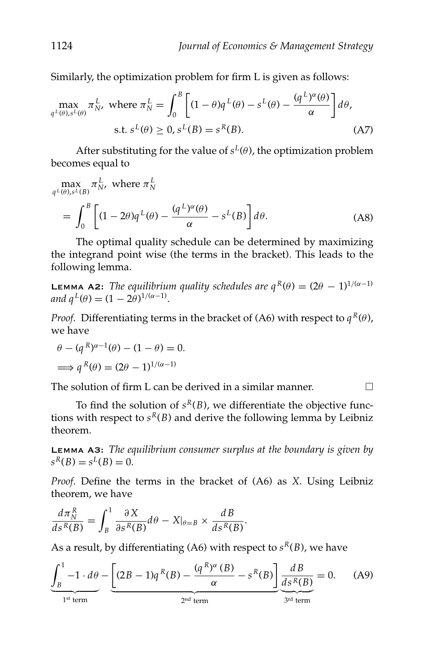Similarly, the optimization problem for firm L is given as follows:

$$
\max_{q^L(\theta), s^L(\theta)} \pi_N^L, \text{ where } \pi_N^L = \int_0^B \left[ (1 - \theta) q^L(\theta) - s^L(\theta) - \frac{(q^L)^\alpha(\theta)}{\alpha} \right] d\theta,
$$
  
s.t.  $s^L(\theta) \ge 0, s^L(B) = s^R(B).$  (A7)

After substituting for the value of  $s^L(\theta)$ , the optimization problem becomes equal to

$$
\max_{q^L(\theta), s^L(B)} \pi_N^L, \text{ where } \pi_N^L
$$
  
= 
$$
\int_0^B \left[ (1 - 2\theta) q^L(\theta) - \frac{(q^L)^\alpha(\theta)}{\alpha} - s^L(B) \right] d\theta.
$$
 (A8)

The optimal quality schedule can be determined by maximizing the integrand point wise (the terms in the bracket). This leads to the following lemma.

**LEMMA A2:** *The equilibrium quality schedules are*  $q^R(\theta) = (2\theta - 1)^{1/(\alpha-1)}$ *and*  $q^L(\theta) = (1 - 2\theta)^{1/(\alpha - 1)}$ .

*Proof.* Differentiating terms in the bracket of (A6) with respect to  $q^R(\theta)$ , we have

$$
\theta - (q^R)^{\alpha - 1}(\theta) - (1 - \theta) = 0.
$$
  

$$
\implies q^R(\theta) = (2\theta - 1)^{1/(\alpha - 1)}
$$

The solution of firm L can be derived in a similar manner.  $\Box$ 

To find the solution of  $s^R(B)$ , we differentiate the objective functions with respect to  $s^R(B)$  and derive the following lemma by Leibniz theorem.

Lemma A3: *The equilibrium consumer surplus at the boundary is given by*  $s^R(B) = s^L(B) = 0.$ 

*Proof.* Define the terms in the bracket of (A6) as *X*. Using Leibniz theorem, we have

$$
\frac{d\pi_N^R}{ds^R(B)} = \int_B^1 \frac{\partial X}{\partial s^R(B)} d\theta - X|_{\theta=B} \times \frac{dB}{ds^R(B)}.
$$

As a result, by differentiating (A6) with respect to  $s^R(B)$ , we have

$$
\underbrace{\int_{B}^{1} -1 \cdot d\theta}_{1^{\text{st}} \text{ term}} - \underbrace{\left[ (2B - 1)q^{R}(B) - \frac{(q^{R})^{\alpha}(B)}{\alpha} - s^{R}(B) \right]}_{2^{\text{nd}} \text{ term}} \underbrace{\frac{dB}{ds^{R}(B)} = 0. \tag{A9}
$$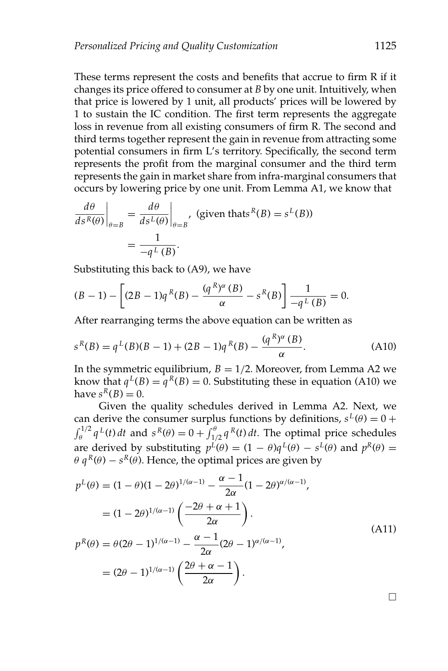These terms represent the costs and benefits that accrue to firm R if it changes its price offered to consumer at *B* by one unit. Intuitively, when that price is lowered by 1 unit, all products' prices will be lowered by 1 to sustain the IC condition. The first term represents the aggregate loss in revenue from all existing consumers of firm R. The second and third terms together represent the gain in revenue from attracting some potential consumers in firm L's territory. Specifically, the second term represents the profit from the marginal consumer and the third term represents the gain in market share from infra-marginal consumers that occurs by lowering price by one unit. From Lemma A1, we know that

$$
\frac{d\theta}{ds^R(\theta)}\Big|_{\theta=B} = \frac{d\theta}{ds^L(\theta)}\Big|_{\theta=B}, \text{ (given that } s^R(B) = s^L(B))
$$

$$
= \frac{1}{-q^L(B)}.
$$

Substituting this back to (A9), we have

$$
(B-1) - \left[ (2B-1)q^{R}(B) - \frac{(q^{R})^{\alpha}(B)}{\alpha} - s^{R}(B) \right] \frac{1}{-q^{L}(B)} = 0.
$$

After rearranging terms the above equation can be written as

$$
s^{R}(B) = q^{L}(B)(B - 1) + (2B - 1)q^{R}(B) - \frac{(q^{R})^{\alpha}(B)}{\alpha}.
$$
 (A10)

In the symmetric equilibrium,  $B = 1/2$ . Moreover, from Lemma A2 we know that  $q^L(B) = q^R(B) = 0$ . Substituting these in equation (A10) we have  $s^R(B) = 0$ .

Given the quality schedules derived in Lemma A2. Next, we can derive the consumer surplus functions by definitions,  $s^L(\theta) = 0 +$  $\int_{\theta}^{1/2} q^L(t) dt$  and  $s^R(\theta) = 0 + \int_{1/2}^{\theta} q^R(t) dt$ . The optimal price schedules are derived by substituting  $p^L(\theta) = (1 - \theta)q^L(\theta) - s^L(\theta)$  and  $p^R(\theta) =$  $\theta$  *q*<sup>*R*</sup>( $\theta$ ) – *s*<sup>*R*</sup>( $\theta$ ). Hence, the optimal prices are given by

$$
p^{L}(\theta) = (1 - \theta)(1 - 2\theta)^{1/(\alpha - 1)} - \frac{\alpha - 1}{2\alpha}(1 - 2\theta)^{\alpha/(\alpha - 1)},
$$
  
=  $(1 - 2\theta)^{1/(\alpha - 1)} \left(\frac{-2\theta + \alpha + 1}{2\alpha}\right).$   

$$
p^{R}(\theta) = \theta(2\theta - 1)^{1/(\alpha - 1)} - \frac{\alpha - 1}{2\alpha}(2\theta - 1)^{\alpha/(\alpha - 1)},
$$
(A11)

$$
= (2\theta - 1)^{1/(\alpha - 1)} \left( \frac{2\theta + \alpha - 1}{2\alpha} \right).
$$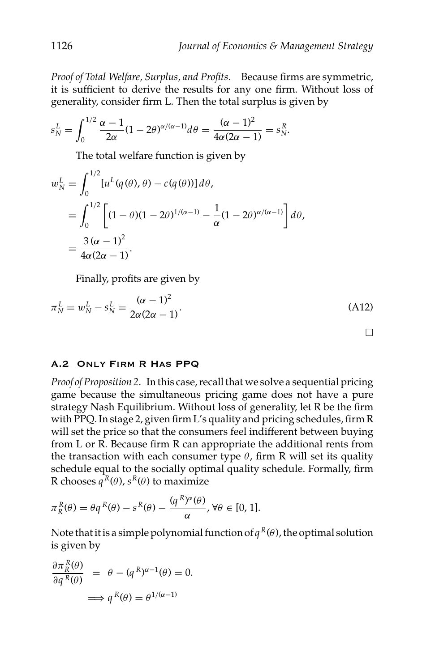*Proof of Total Welfare, Surplus, and Profits.* Because firms are symmetric, it is sufficient to derive the results for any one firm. Without loss of generality, consider firm L. Then the total surplus is given by

$$
s_N^L = \int_0^{1/2} \frac{\alpha - 1}{2\alpha} (1 - 2\theta)^{\alpha/(\alpha - 1)} d\theta = \frac{(\alpha - 1)^2}{4\alpha (2\alpha - 1)} = s_N^R.
$$

The total welfare function is given by

$$
w_N^L = \int_0^{1/2} [u^L(q(\theta), \theta) - c(q(\theta))] d\theta,
$$
  
= 
$$
\int_0^{1/2} \left[ (1 - \theta)(1 - 2\theta)^{1/(\alpha - 1)} - \frac{1}{\alpha} (1 - 2\theta)^{\alpha/(\alpha - 1)} \right] d\theta,
$$
  
= 
$$
\frac{3(\alpha - 1)^2}{4\alpha(2\alpha - 1)}.
$$

Finally, profits are given by

$$
\pi_N^L = w_N^L - s_N^L = \frac{(\alpha - 1)^2}{2\alpha(2\alpha - 1)}.
$$
\n(A12)

A.2 Only Firm R Has PPQ

*Proof of Proposition 2.* In this case, recall that we solve a sequential pricing game because the simultaneous pricing game does not have a pure strategy Nash Equilibrium. Without loss of generality, let R be the firm with PPQ. In stage 2, given firm L's quality and pricing schedules, firm R will set the price so that the consumers feel indifferent between buying from L or R. Because firm R can appropriate the additional rents from the transaction with each consumer type  $\theta$ , firm R will set its quality schedule equal to the socially optimal quality schedule. Formally, firm R chooses  $q^R(\theta)$ ,  $s^R(\theta)$  to maximize

$$
\pi_R^R(\theta) = \theta q^R(\theta) - s^R(\theta) - \frac{(q^R)^{\alpha}(\theta)}{\alpha}, \forall \theta \in [0, 1].
$$

Note that it is a simple polynomial function of  $q^R(\theta)$ , the optimal solution is given by

$$
\frac{\partial \pi_k^R(\theta)}{\partial q^R(\theta)} = \theta - (q^R)^{\alpha - 1}(\theta) = 0.
$$

$$
\implies q^R(\theta) = \theta^{1/(\alpha - 1)}
$$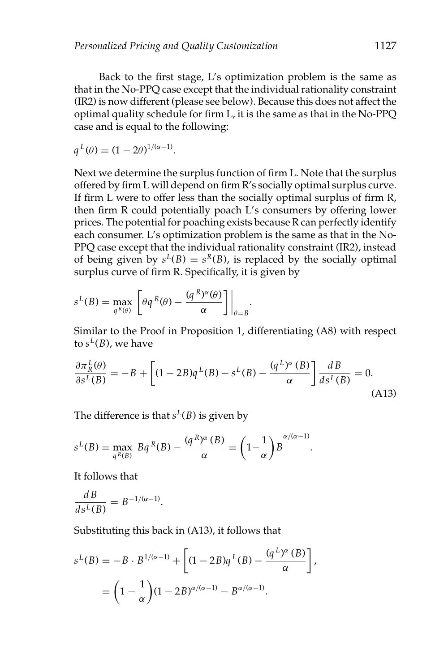Back to the first stage, L's optimization problem is the same as that in the No-PPQ case except that the individual rationality constraint (IR2) is now different (please see below). Because this does not affect the optimal quality schedule for firm L, it is the same as that in the No-PPQ case and is equal to the following:

$$
q^L(\theta) = (1 - 2\theta)^{1/(\alpha - 1)}.
$$

Next we determine the surplus function of firm L. Note that the surplus offered by firm L will depend on firm R's socially optimal surplus curve. If firm L were to offer less than the socially optimal surplus of firm R, then firm R could potentially poach L's consumers by offering lower prices. The potential for poaching exists because R can perfectly identify each consumer. L's optimization problem is the same as that in the No-PPQ case except that the individual rationality constraint (IR2), instead of being given by  $s^L(B) = s^R(B)$ , is replaced by the socially optimal surplus curve of firm R. Specifically, it is given by

$$
s^{L}(B) = \max_{q^{R}(\theta)} \left[ \theta q^{R}(\theta) - \frac{(q^{R})^{\alpha}(\theta)}{\alpha} \right] \bigg|_{\theta = B}.
$$

Similar to the Proof in Proposition 1, differentiating (A8) with respect to  $s^L(B)$ , we have

$$
\frac{\partial \pi_K^L(\theta)}{\partial s^L(B)} = -B + \left[ (1 - 2B)q^L(B) - s^L(B) - \frac{(q^L)^\alpha(B)}{\alpha} \right] \frac{dB}{ds^L(B)} = 0.
$$
\n(A13)

The difference is that  $s^L(B)$  is given by

$$
s^{L}(B) = \max_{q^{R}(B)} Bq^{R}(B) - \frac{(q^{R})^{\alpha}(B)}{\alpha} = \left(1 - \frac{1}{\alpha}\right)B^{\alpha/(\alpha-1)}.
$$

It follows that

$$
\frac{dB}{ds^L(B)} = B^{-1/(\alpha - 1)}.
$$

Substituting this back in (A13), it follows that

$$
s^{L}(B) = -B \cdot B^{1/(\alpha - 1)} + \left[ (1 - 2B)q^{L}(B) - \frac{(q^{L})^{\alpha}(B)}{\alpha} \right],
$$
  
=  $\left( 1 - \frac{1}{\alpha} \right) (1 - 2B)^{\alpha/(\alpha - 1)} - B^{\alpha/(\alpha - 1)}.$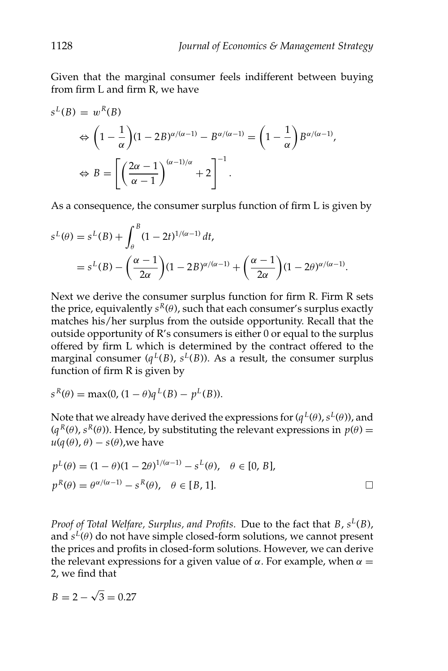Given that the marginal consumer feels indifferent between buying from firm L and firm R, we have

$$
s^{L}(B) = w^{R}(B)
$$
  
\n
$$
\Leftrightarrow \left(1 - \frac{1}{\alpha}\right)(1 - 2B)^{\alpha/(\alpha - 1)} - B^{\alpha/(\alpha - 1)} = \left(1 - \frac{1}{\alpha}\right)B^{\alpha/(\alpha - 1)},
$$
  
\n
$$
\Leftrightarrow B = \left[\left(\frac{2\alpha - 1}{\alpha - 1}\right)^{(\alpha - 1)/\alpha} + 2\right]^{-1}.
$$

As a consequence, the consumer surplus function of firm L is given by

$$
s^{L}(\theta) = s^{L}(B) + \int_{\theta}^{B} (1 - 2t)^{1/(\alpha - 1)} dt,
$$
  
=  $s^{L}(B) - \left(\frac{\alpha - 1}{2\alpha}\right) (1 - 2B)^{\alpha/(\alpha - 1)} + \left(\frac{\alpha - 1}{2\alpha}\right) (1 - 2\theta)^{\alpha/(\alpha - 1)}.$ 

Next we derive the consumer surplus function for firm R. Firm R sets the price, equivalently  $s^R(\theta)$ , such that each consumer's surplus exactly matches his/her surplus from the outside opportunity. Recall that the outside opportunity of R's consumers is either 0 or equal to the surplus offered by firm L which is determined by the contract offered to the marginal consumer  $(q^L(B), s^L(B))$ . As a result, the consumer surplus function of firm R is given by

$$
s^{R}(\theta) = \max(0, (1 - \theta)q^{L}(B) - p^{L}(B)).
$$

Note that we already have derived the expressions for  $(q^L(\theta), s^L(\theta))$ , and  $(q^R(\theta), s^R(\theta))$ . Hence, by substituting the relevant expressions in  $p(\theta)$  =  $u(q(\theta), \theta) - s(\theta)$ , we have

$$
p^{L}(\theta) = (1 - \theta)(1 - 2\theta)^{1/(\alpha - 1)} - s^{L}(\theta), \quad \theta \in [0, B],
$$
  

$$
p^{R}(\theta) = \theta^{\alpha/(\alpha - 1)} - s^{R}(\theta), \quad \theta \in [B, 1].
$$

*Proof of Total Welfare, Surplus, and Profits.* Due to the fact that *B*, *s<sup>L</sup>*(*B*), and  $s^L(\theta)$  do not have simple closed-form solutions, we cannot present the prices and profits in closed-form solutions. However, we can derive the relevant expressions for a given value of  $\alpha$ . For example, when  $\alpha =$ 2, we find that

$$
B = 2 - \sqrt{3} = 0.27
$$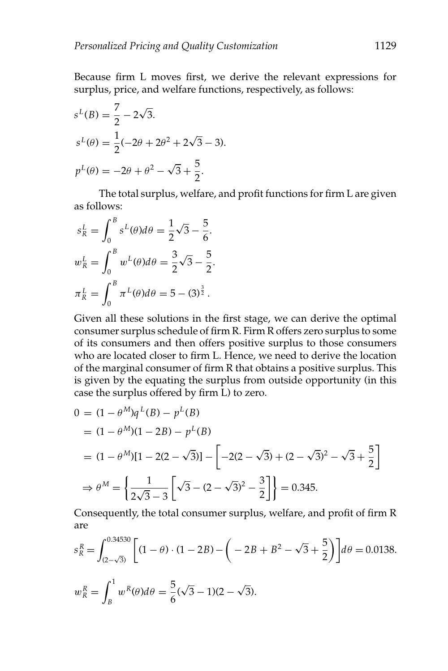Because firm L moves first, we derive the relevant expressions for surplus, price, and welfare functions, respectively, as follows:

$$
s^{L}(B) = \frac{7}{2} - 2\sqrt{3}.
$$
  
\n
$$
s^{L}(\theta) = \frac{1}{2}(-2\theta + 2\theta^{2} + 2\sqrt{3} - 3).
$$
  
\n
$$
p^{L}(\theta) = -2\theta + \theta^{2} - \sqrt{3} + \frac{5}{2}.
$$

The total surplus, welfare, and profit functions for firm L are given as follows:

$$
s_R^L = \int_0^B s^L(\theta) d\theta = \frac{1}{2}\sqrt{3} - \frac{5}{6}.
$$
  

$$
w_R^L = \int_0^B w^L(\theta) d\theta = \frac{3}{2}\sqrt{3} - \frac{5}{2}.
$$
  

$$
\pi_R^L = \int_0^B \pi^L(\theta) d\theta = 5 - (3)^{\frac{3}{2}}.
$$

Given all these solutions in the first stage, we can derive the optimal consumer surplus schedule of firm R. Firm R offers zero surplus to some of its consumers and then offers positive surplus to those consumers who are located closer to firm L. Hence, we need to derive the location of the marginal consumer of firm R that obtains a positive surplus. This is given by the equating the surplus from outside opportunity (in this case the surplus offered by firm L) to zero.

$$
0 = (1 - \theta^M)q^L(B) - p^L(B)
$$
  
=  $(1 - \theta^M)(1 - 2B) - p^L(B)$   
=  $(1 - \theta^M)[1 - 2(2 - \sqrt{3})] - [-2(2 - \sqrt{3}) + (2 - \sqrt{3})^2 - \sqrt{3} + \frac{5}{2}]$   
 $\Rightarrow \theta^M = \left\{ \frac{1}{2\sqrt{3} - 3} \left[ \sqrt{3} - (2 - \sqrt{3})^2 - \frac{3}{2} \right] \right\} = 0.345.$ 

Consequently, the total consumer surplus, welfare, and profit of firm R are

$$
s_R^R = \int_{(2-\sqrt{3})}^{(0.34530)} \left[ (1-\theta) \cdot (1-2B) - \left( -2B + B^2 - \sqrt{3} + \frac{5}{2} \right) \right] d\theta = 0.0138.
$$
  

$$
w_R^R = \int_B^1 w^R(\theta) d\theta = \frac{5}{6} (\sqrt{3} - 1)(2 - \sqrt{3}).
$$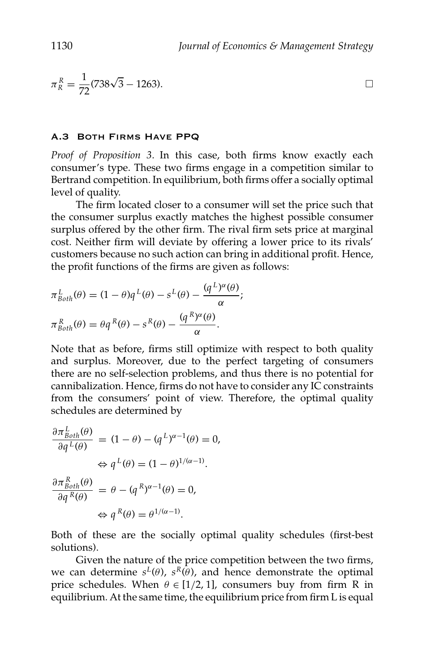$$
\pi_R^R = \frac{1}{72} (738\sqrt{3} - 1263).
$$

#### A.3 Both Firms Have PPQ

*Proof of Proposition 3.* In this case, both firms know exactly each consumer's type. These two firms engage in a competition similar to Bertrand competition. In equilibrium, both firms offer a socially optimal level of quality.

The firm located closer to a consumer will set the price such that the consumer surplus exactly matches the highest possible consumer surplus offered by the other firm. The rival firm sets price at marginal cost. Neither firm will deviate by offering a lower price to its rivals' customers because no such action can bring in additional profit. Hence, the profit functions of the firms are given as follows:

$$
\pi_{Both}^{L}(\theta) = (1 - \theta)q^{L}(\theta) - s^{L}(\theta) - \frac{(q^{L})^{\alpha}(\theta)}{\alpha};
$$

$$
\pi_{Both}^{R}(\theta) = \theta q^{R}(\theta) - s^{R}(\theta) - \frac{(q^{R})^{\alpha}(\theta)}{\alpha}.
$$

Note that as before, firms still optimize with respect to both quality and surplus. Moreover, due to the perfect targeting of consumers there are no self-selection problems, and thus there is no potential for cannibalization. Hence, firms do not have to consider any IC constraints from the consumers' point of view. Therefore, the optimal quality schedules are determined by

$$
\frac{\partial \pi_{Both}^L(\theta)}{\partial q^L(\theta)} = (1 - \theta) - (q^L)^{\alpha - 1}(\theta) = 0,
$$
  

$$
\Leftrightarrow q^L(\theta) = (1 - \theta)^{1/(\alpha - 1)}.
$$
  

$$
\frac{\partial \pi_{Both}^R(\theta)}{\partial q^R(\theta)} = \theta - (q^R)^{\alpha - 1}(\theta) = 0,
$$
  

$$
\Leftrightarrow q^R(\theta) = \theta^{1/(\alpha - 1)}.
$$

Both of these are the socially optimal quality schedules (first-best solutions).

Given the nature of the price competition between the two firms, we can determine  $s^L(\theta)$ ,  $s^R(\theta)$ , and hence demonstrate the optimal price schedules. When  $\theta \in [1/2, 1]$ , consumers buy from firm R in equilibrium. At the same time, the equilibrium price from firm L is equal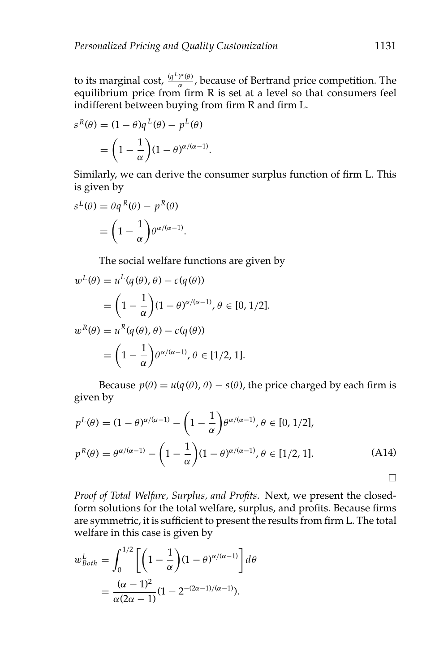to its marginal cost,  $\frac{(q^L)^\alpha(\theta)}{\alpha}$ , because of Bertrand price competition. The equilibrium price from firm R is set at a level so that consumers feel indifferent between buying from firm R and firm L.

$$
s^{R}(\theta) = (1 - \theta)q^{L}(\theta) - p^{L}(\theta)
$$

$$
= \left(1 - \frac{1}{\alpha}\right)(1 - \theta)^{\alpha/(\alpha - 1)}.
$$

Similarly, we can derive the consumer surplus function of firm L. This is given by

$$
s^{L}(\theta) = \theta q^{R}(\theta) - p^{R}(\theta)
$$

$$
= \left(1 - \frac{1}{\alpha}\right) \theta^{\alpha/(\alpha - 1)}.
$$

The social welfare functions are given by

$$
w^{L}(\theta) = u^{L}(q(\theta), \theta) - c(q(\theta))
$$
  
=  $\left(1 - \frac{1}{\alpha}\right)(1 - \theta)^{\alpha/(\alpha - 1)}, \theta \in [0, 1/2].$   

$$
w^{R}(\theta) = u^{R}(q(\theta), \theta) - c(q(\theta))
$$
  
=  $\left(1 - \frac{1}{\alpha}\right)\theta^{\alpha/(\alpha - 1)}, \theta \in [1/2, 1].$ 

Because  $p(\theta) = u(q(\theta), \theta) - s(\theta)$ , the price charged by each firm is given by

$$
p^{L}(\theta) = (1 - \theta)^{\alpha/(\alpha - 1)} - \left(1 - \frac{1}{\alpha}\right) \theta^{\alpha/(\alpha - 1)}, \theta \in [0, 1/2],
$$
  

$$
p^{R}(\theta) = \theta^{\alpha/(\alpha - 1)} - \left(1 - \frac{1}{\alpha}\right) (1 - \theta)^{\alpha/(\alpha - 1)}, \theta \in [1/2, 1].
$$
 (A14)

*Proof of Total Welfare, Surplus, and Profits.* Next, we present the closedform solutions for the total welfare, surplus, and profits. Because firms are symmetric, it is sufficient to present the results from firm L. The total welfare in this case is given by

$$
w_{Both}^L = \int_0^{1/2} \left[ \left( 1 - \frac{1}{\alpha} \right) (1 - \theta)^{\alpha/(\alpha - 1)} \right] d\theta
$$
  
= 
$$
\frac{(\alpha - 1)^2}{\alpha(2\alpha - 1)} (1 - 2^{-(2\alpha - 1)/(\alpha - 1)}).
$$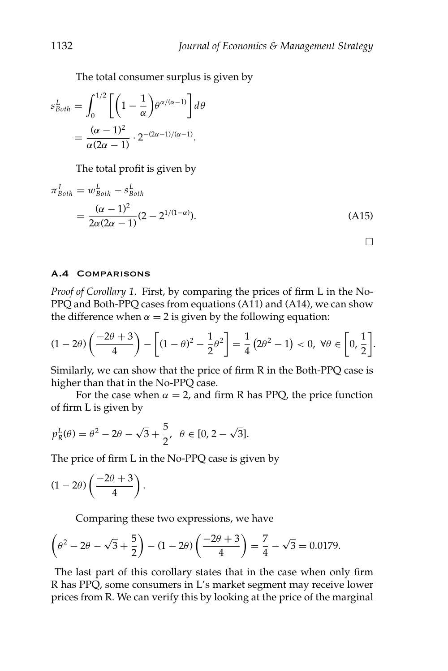The total consumer surplus is given by

$$
s_{Both}^L = \int_0^{1/2} \left[ \left( 1 - \frac{1}{\alpha} \right) \theta^{\alpha/(\alpha - 1)} \right] d\theta
$$
  
= 
$$
\frac{(\alpha - 1)^2}{\alpha(2\alpha - 1)} \cdot 2^{-(2\alpha - 1)/(\alpha - 1)}.
$$

The total profit is given by

$$
\pi_{Both}^{L} = w_{Both}^{L} - s_{Both}^{L}
$$
\n
$$
= \frac{(\alpha - 1)^{2}}{2\alpha(2\alpha - 1)} (2 - 2^{1/(1 - \alpha)}).
$$
\n(A15)

 $\Box$ 

#### A.4 Comparisons

*Proof of Corollary 1.* First, by comparing the prices of firm L in the No-PPQ and Both-PPQ cases from equations (A11) and (A14), we can show the difference when  $\alpha = 2$  is given by the following equation:

$$
(1-2\theta)\left(\frac{-2\theta+3}{4}\right) - \left[(1-\theta)^2 - \frac{1}{2}\theta^2\right] = \frac{1}{4}\left(2\theta^2 - 1\right) < 0, \ \forall \theta \in \left[0, \frac{1}{2}\right].
$$

Similarly, we can show that the price of firm R in the Both-PPQ case is higher than that in the No-PPQ case.

For the case when  $\alpha = 2$ , and firm R has PPQ, the price function of firm L is given by

$$
p_R^L(\theta) = \theta^2 - 2\theta - \sqrt{3} + \frac{5}{2}, \ \theta \in [0, 2 - \sqrt{3}].
$$

.

The price of firm L in the No-PPQ case is given by

$$
(1-2\theta)\left(\frac{-2\theta+3}{4}\right)
$$

Comparing these two expressions, we have

$$
\left(\theta^2 - 2\theta - \sqrt{3} + \frac{5}{2}\right) - (1 - 2\theta)\left(\frac{-2\theta + 3}{4}\right) = \frac{7}{4} - \sqrt{3} = 0.0179.
$$

The last part of this corollary states that in the case when only firm R has PPQ, some consumers in L's market segment may receive lower prices from R. We can verify this by looking at the price of the marginal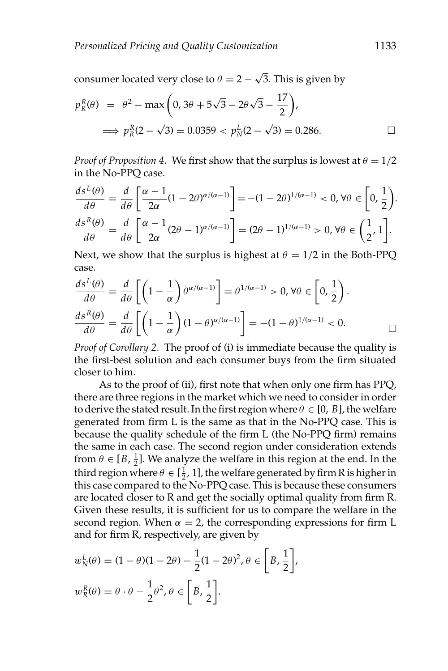consumer located very close to  $\theta = 2 - \sqrt{3}$ . This is given by

$$
p_R^R(\theta) = \theta^2 - \max\left(0, 3\theta + 5\sqrt{3} - 2\theta\sqrt{3} - \frac{17}{2}\right),
$$
  

$$
\implies p_R^R(2 - \sqrt{3}) = 0.0359 < p_N^L(2 - \sqrt{3}) = 0.286.
$$

*Proof of Proposition 4.* We first show that the surplus is lowest at  $\theta = 1/2$ in the No-PPQ case.

$$
\frac{ds^L(\theta)}{d\theta} = \frac{d}{d\theta} \left[ \frac{\alpha - 1}{2\alpha} (1 - 2\theta)^{\alpha/(\alpha - 1)} \right] = -(1 - 2\theta)^{1/(\alpha - 1)} < 0, \forall \theta \in \left[ 0, \frac{1}{2} \right).
$$

$$
\frac{ds^R(\theta)}{d\theta} = \frac{d}{d\theta} \left[ \frac{\alpha - 1}{2\alpha} (2\theta - 1)^{\alpha/(\alpha - 1)} \right] = (2\theta - 1)^{1/(\alpha - 1)} > 0, \forall \theta \in \left( \frac{1}{2}, 1 \right].
$$

Next, we show that the surplus is highest at  $\theta = 1/2$  in the Both-PPQ case.

$$
\frac{ds^L(\theta)}{d\theta} = \frac{d}{d\theta} \left[ \left( 1 - \frac{1}{\alpha} \right) \theta^{\alpha/(\alpha - 1)} \right] = \theta^{1/(\alpha - 1)} > 0, \forall \theta \in \left[ 0, \frac{1}{2} \right).
$$
\n
$$
\frac{ds^R(\theta)}{d\theta} = \frac{d}{d\theta} \left[ \left( 1 - \frac{1}{\alpha} \right) (1 - \theta)^{\alpha/(\alpha - 1)} \right] = -(1 - \theta)^{1/(\alpha - 1)} < 0.
$$

*Proof of Corollary 2.* The proof of (i) is immediate because the quality is the first-best solution and each consumer buys from the firm situated closer to him.

As to the proof of (ii), first note that when only one firm has PPQ, there are three regions in the market which we need to consider in order to derive the stated result. In the first region where  $\theta \in [0, B]$ , the welfare generated from firm L is the same as that in the No-PPQ case. This is because the quality schedule of the firm L (the No-PPQ firm) remains the same in each case. The second region under consideration extends from  $\theta \in [B, \frac{1}{2}]$ . We analyze the welfare in this region at the end. In the third region where  $\theta \in [\frac{1}{2}, 1]$ , the welfare generated by firm R is higher in this case compared to the No-PPQ case. This is because these consumers are located closer to R and get the socially optimal quality from firm R. Given these results, it is sufficient for us to compare the welfare in the second region. When  $\alpha = 2$ , the corresponding expressions for firm L and for firm R, respectively, are given by

$$
w_N^L(\theta) = (1 - \theta)(1 - 2\theta) - \frac{1}{2}(1 - 2\theta)^2, \theta \in \left[B, \frac{1}{2}\right],
$$
  

$$
w_R^R(\theta) = \theta \cdot \theta - \frac{1}{2}\theta^2, \theta \in \left[B, \frac{1}{2}\right].
$$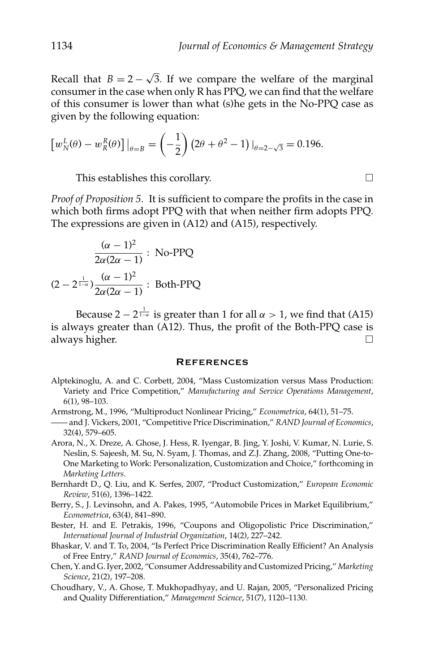Recall that  $B = 2 - \sqrt{3}$ . If we compare the welfare of the marginal consumer in the case when only R has PPQ, we can find that the welfare of this consumer is lower than what (s)he gets in the No-PPQ case as given by the following equation:

$$
\left[w_N^L(\theta) - w_R^R(\theta)\right]\big|_{\theta = B} = \left(-\frac{1}{2}\right) \left(2\theta + \theta^2 - 1\right)\big|_{\theta = 2 - \sqrt{3}} = 0.196.
$$

This establishes this corollary.  $\Box$ 

*Proof of Proposition 5.* It is sufficient to compare the profits in the case in which both firms adopt PPQ with that when neither firm adopts PPQ. The expressions are given in (A12) and (A15), respectively.

$$
\frac{(\alpha - 1)^2}{2\alpha(2\alpha - 1)} : \text{No-PPQ}
$$

$$
(2 - 2^{\frac{1}{1-\alpha}})\frac{(\alpha - 1)^2}{2\alpha(2\alpha - 1)} : \text{Both-PPQ}
$$

Because  $2 - 2^{\frac{1}{1-\alpha}}$  is greater than 1 for all  $\alpha > 1$ , we find that (A15) is always greater than (A12). Thus, the profit of the Both-PPQ case is always higher.  $\Box$ 

#### **REFERENCES**

- Alptekinoglu, A. and C. Corbett, 2004, "Mass Customization versus Mass Production: Variety and Price Competition," *Manufacturing and Service Operations Management*, 6(1), 98–103.
- Armstrong, M., 1996, "Multiproduct Nonlinear Pricing," *Econometrica*, 64(1), 51–75.
- —— and J. Vickers, 2001, "Competitive Price Discrimination," *RAND Journal of Economics*, 32(4), 579–605.
- Arora, N., X. Dreze, A. Ghose, J. Hess, R. Iyengar, B. Jing, Y. Joshi, V. Kumar, N. Lurie, S. Neslin, S. Sajeesh, M. Su, N. Syam, J. Thomas, and Z.J. Zhang, 2008, "Putting One-to-One Marketing to Work: Personalization, Customization and Choice," forthcoming in *Marketing Letters*.
- Bernhardt D., Q. Liu, and K. Serfes, 2007, "Product Customization," *European Economic Review*, 51(6), 1396–1422.
- Berry, S., J. Levinsohn, and A. Pakes, 1995, "Automobile Prices in Market Equilibrium," *Econometrica*, 63(4), 841–890.
- Bester, H. and E. Petrakis, 1996, "Coupons and Oligopolistic Price Discrimination," *International Journal of Industrial Organization*, 14(2), 227–242.
- Bhaskar, V. and T. To, 2004, "Is Perfect Price Discrimination Really Efficient? An Analysis of Free Entry," *RAND Journal of Economics*, 35(4), 762–776.
- Chen, Y. and G. Iyer, 2002, "Consumer Addressability and Customized Pricing,"*Marketing Science*, 21(2), 197–208.
- Choudhary, V., A. Ghose, T. Mukhopadhyay, and U. Rajan, 2005, "Personalized Pricing and Quality Differentiation," *Management Science*, 51(7), 1120–1130.